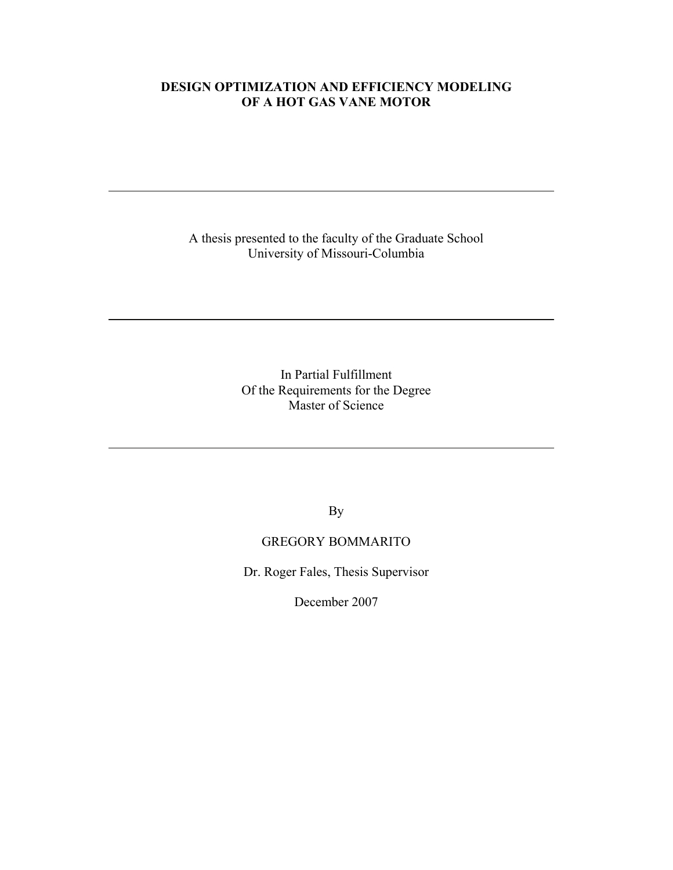## **DESIGN OPTIMIZATION AND EFFICIENCY MODELING OF A HOT GAS VANE MOTOR**

A thesis presented to the faculty of the Graduate School University of Missouri-Columbia

> In Partial Fulfillment Of the Requirements for the Degree Master of Science

> > By

## GREGORY BOMMARITO

Dr. Roger Fales, Thesis Supervisor

December 2007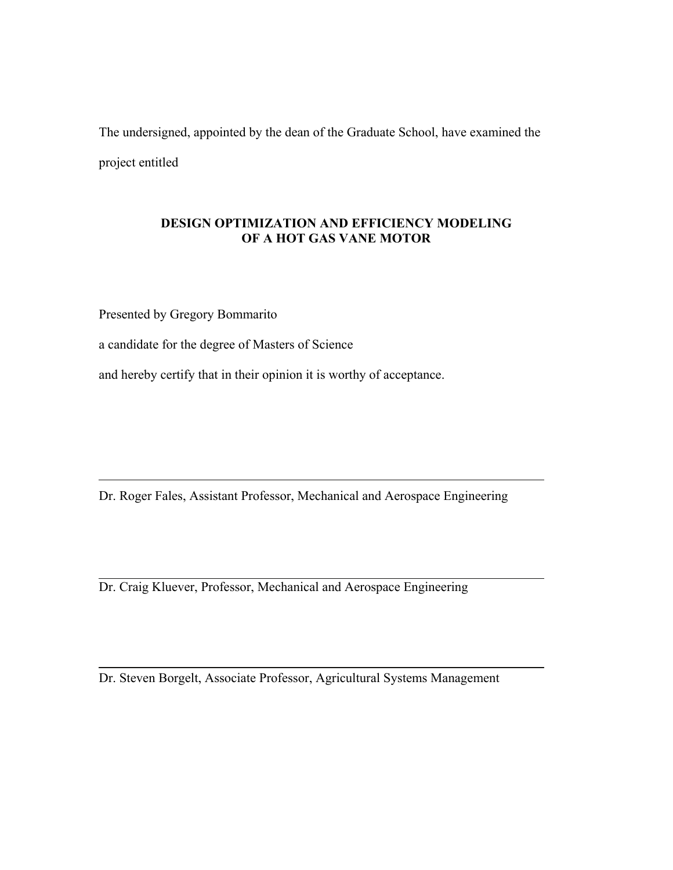The undersigned, appointed by the dean of the Graduate School, have examined the project entitled

## **DESIGN OPTIMIZATION AND EFFICIENCY MODELING OF A HOT GAS VANE MOTOR**

Presented by Gregory Bommarito

a candidate for the degree of Masters of Science

and hereby certify that in their opinion it is worthy of acceptance.

Dr. Roger Fales, Assistant Professor, Mechanical and Aerospace Engineering

Dr. Craig Kluever, Professor, Mechanical and Aerospace Engineering

Dr. Steven Borgelt, Associate Professor, Agricultural Systems Management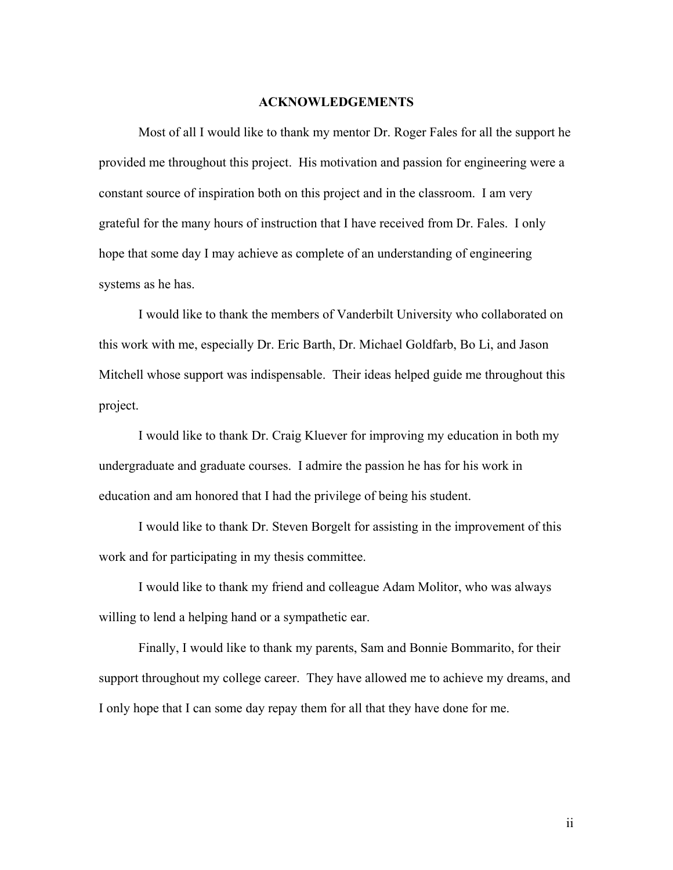#### **ACKNOWLEDGEMENTS**

Most of all I would like to thank my mentor Dr. Roger Fales for all the support he provided me throughout this project. His motivation and passion for engineering were a constant source of inspiration both on this project and in the classroom. I am very grateful for the many hours of instruction that I have received from Dr. Fales. I only hope that some day I may achieve as complete of an understanding of engineering systems as he has.

I would like to thank the members of Vanderbilt University who collaborated on this work with me, especially Dr. Eric Barth, Dr. Michael Goldfarb, Bo Li, and Jason Mitchell whose support was indispensable. Their ideas helped guide me throughout this project.

I would like to thank Dr. Craig Kluever for improving my education in both my undergraduate and graduate courses. I admire the passion he has for his work in education and am honored that I had the privilege of being his student.

I would like to thank Dr. Steven Borgelt for assisting in the improvement of this work and for participating in my thesis committee.

I would like to thank my friend and colleague Adam Molitor, who was always willing to lend a helping hand or a sympathetic ear.

Finally, I would like to thank my parents, Sam and Bonnie Bommarito, for their support throughout my college career. They have allowed me to achieve my dreams, and I only hope that I can some day repay them for all that they have done for me.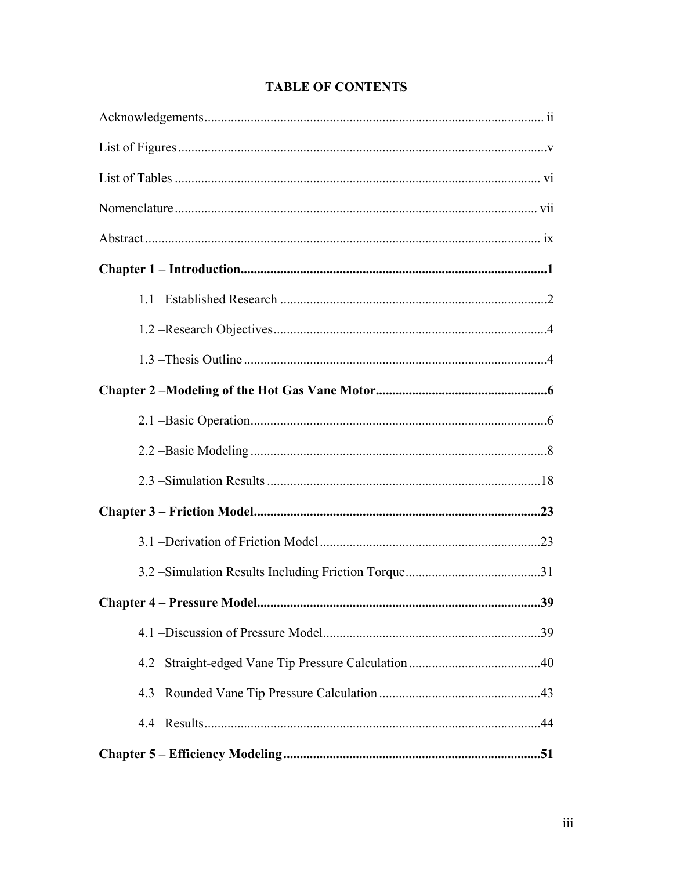# **TABLE OF CONTENTS**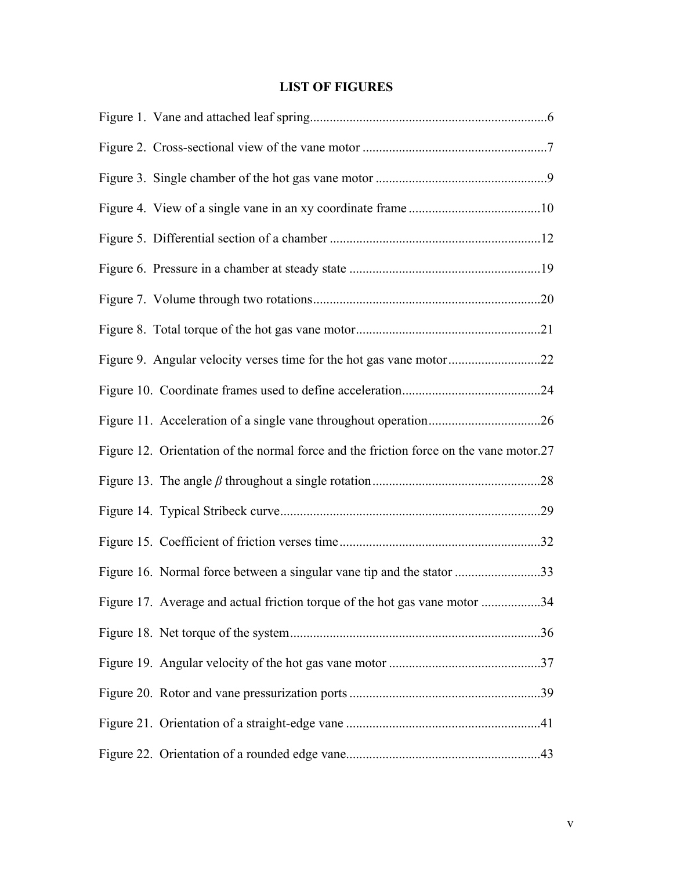# **LIST OF FIGURES**

| Figure 12. Orientation of the normal force and the friction force on the vane motor.27 |  |
|----------------------------------------------------------------------------------------|--|
|                                                                                        |  |
|                                                                                        |  |
|                                                                                        |  |
| Figure 16. Normal force between a singular vane tip and the stator 33                  |  |
| Figure 17. Average and actual friction torque of the hot gas vane motor 34             |  |
|                                                                                        |  |
|                                                                                        |  |
|                                                                                        |  |
|                                                                                        |  |
|                                                                                        |  |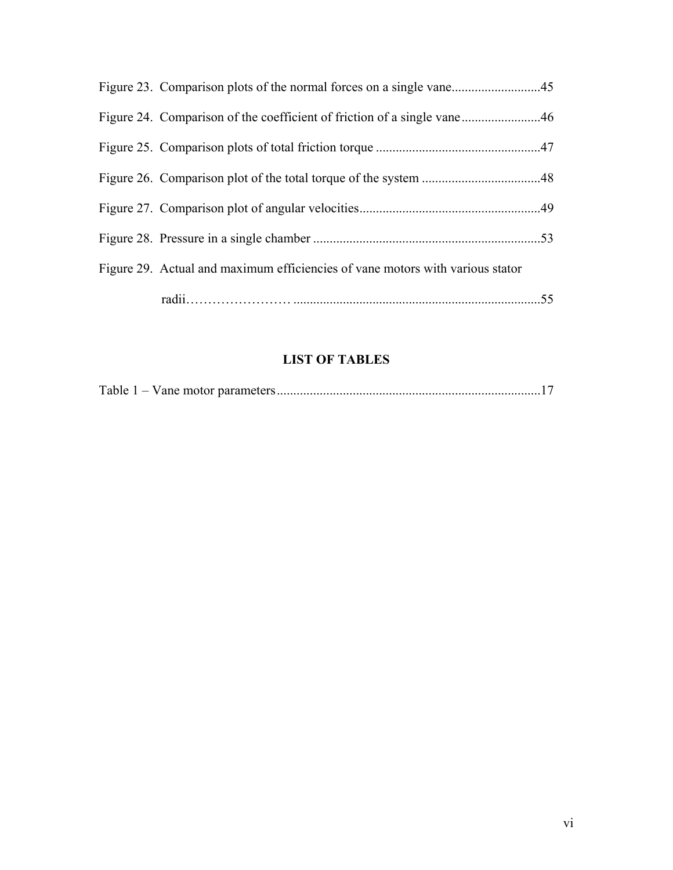| Figure 29. Actual and maximum efficiencies of vane motors with various stator |    |
|-------------------------------------------------------------------------------|----|
|                                                                               | 55 |

# **LIST OF TABLES**

|--|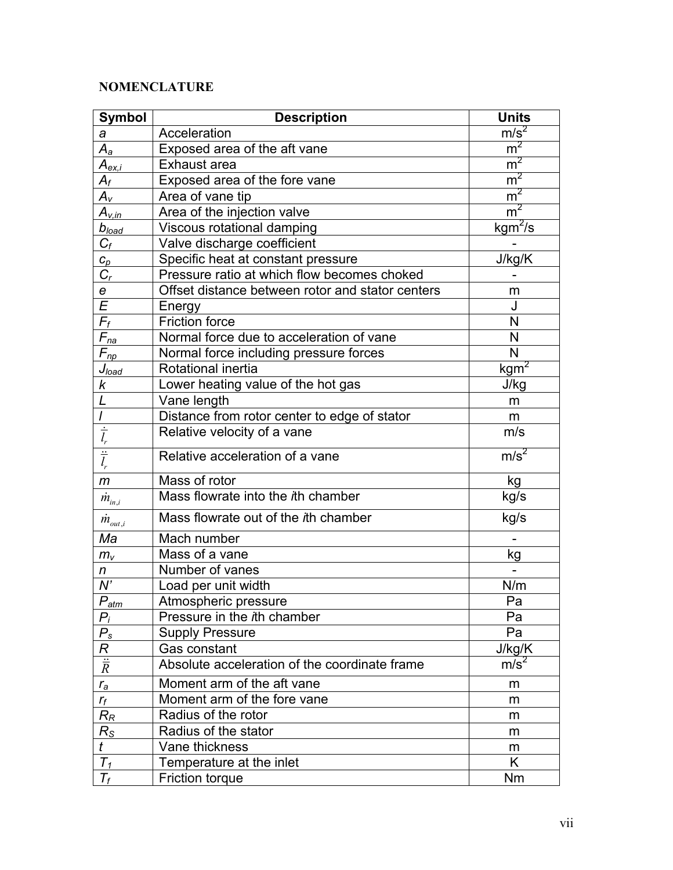# **NOMENCLATURE**

| <b>Symbol</b>            | <b>Description</b>                               | <b>Units</b>     |
|--------------------------|--------------------------------------------------|------------------|
| a                        | Acceleration                                     | m/s <sup>2</sup> |
| $A_{a}$                  | Exposed area of the aft vane                     | m <sup>2</sup>   |
| $A_{ex,i}$               | Exhaust area                                     | m <sup>2</sup>   |
| $A_f$                    | Exposed area of the fore vane                    | m <sup>2</sup>   |
| $A_{\rm v}$              | Area of vane tip                                 | m <sup>2</sup>   |
| $A_{v,in}$               | Area of the injection valve                      | m <sup>2</sup>   |
| $b_{\textit{load}}$      | Viscous rotational damping                       | $kgm^2/s$        |
| $C_f$                    | Valve discharge coefficient                      |                  |
| $c_p$                    | Specific heat at constant pressure               | J/kg/K           |
| $C_r$                    | Pressure ratio at which flow becomes choked      |                  |
| $\epsilon$               | Offset distance between rotor and stator centers | m                |
| $\overline{\mathcal{E}}$ | Energy                                           | J                |
| $\overline{F_f}$         | <b>Friction force</b>                            | N                |
| $F_{na}$                 | Normal force due to acceleration of vane         | N                |
| $F_{np}$                 | Normal force including pressure forces           | N                |
| $J_{load}$               | Rotational inertia                               | kgm <sup>2</sup> |
| k                        | Lower heating value of the hot gas               | J/kg             |
|                          | Vane length                                      | m                |
| $\overline{I}$           | Distance from rotor center to edge of stator     | m                |
| $\frac{1}{l_{r}}$        | Relative velocity of a vane                      | m/s              |
| $\frac{1}{l_r}$          | Relative acceleration of a vane                  | m/s <sup>2</sup> |
| $\mathsf{m}$             | Mass of rotor                                    | kg               |
| $\dot{m}_{_{in,i}}$      | Mass flowrate into the ith chamber               | kg/s             |
| $m_{_{out,i}}$           | Mass flowrate out of the ith chamber             | kg/s             |
| Ma                       | Mach number                                      |                  |
| $m_{v}$                  | Mass of a vane                                   | kg               |
| n                        | Number of vanes                                  |                  |
| N'                       | Load per unit width                              | N/m              |
| $\overline{P_{atm}}$     | Atmospheric pressure                             | Pa               |
| $P_i$                    | Pressure in the ith chamber                      | Pa               |
| $P_{s}$                  | <b>Supply Pressure</b>                           | Pa               |
| R                        | Gas constant                                     | J/kg/K           |
| $\frac{1}{R}$            | Absolute acceleration of the coordinate frame    | m/s <sup>2</sup> |
| $r_a$                    | Moment arm of the aft vane                       | m                |
| $r_f$                    | Moment arm of the fore vane                      | m                |
| $R_R$                    | Radius of the rotor                              | m                |
| $R_{\rm S}$              | Radius of the stator                             | m                |
| $\boldsymbol{t}$         | Vane thickness                                   | m                |
| $\overline{T_1}$         | Temperature at the inlet                         | K                |
| $T_f$                    | Friction torque                                  | <b>Nm</b>        |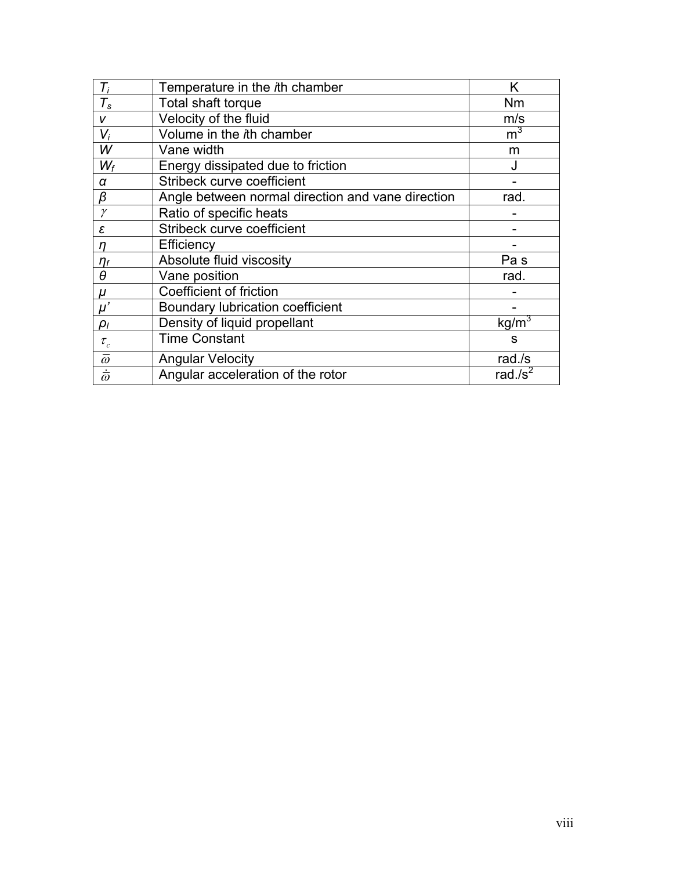| $T_i$                | Temperature in the ith chamber                    | K                 |
|----------------------|---------------------------------------------------|-------------------|
| $T_{\tt s}$          | Total shaft torque                                | Nm                |
| V                    | Velocity of the fluid                             | m/s               |
| $V_i$                | Volume in the ith chamber                         | m <sup>3</sup>    |
| W                    | Vane width                                        | m                 |
| $W_f$                | Energy dissipated due to friction                 | J                 |
| α                    | Stribeck curve coefficient                        |                   |
| β                    | Angle between normal direction and vane direction | rad.              |
| $\gamma$             | Ratio of specific heats                           |                   |
| ε                    | Stribeck curve coefficient                        |                   |
| n                    | Efficiency                                        |                   |
| $\eta_f$             | Absolute fluid viscosity                          | Pa <sub>s</sub>   |
| $\theta$             | Vane position                                     | rad.              |
| μ                    | Coefficient of friction                           |                   |
| $\mu'$               | Boundary lubrication coefficient                  |                   |
| $\rho_I$             | Density of liquid propellant                      | kg/m <sup>3</sup> |
| $\tau_{_{c}}$        | <b>Time Constant</b>                              | S                 |
| $\bar{\omega}$       | <b>Angular Velocity</b>                           | rad $\sqrt{s}$    |
| $\dot{\bar{\omega}}$ | Angular acceleration of the rotor                 | rad./ $s^2$       |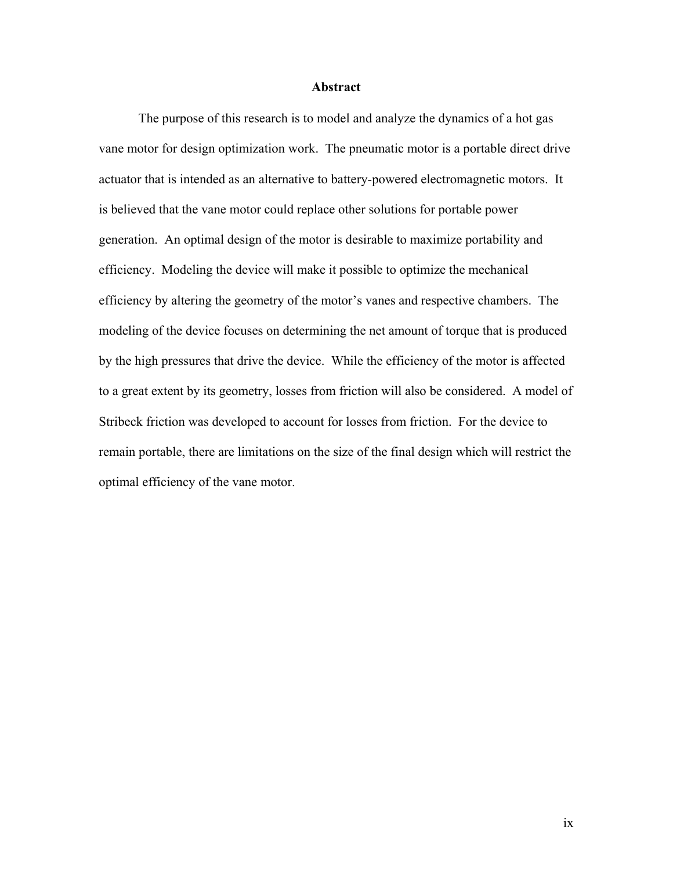#### **Abstract**

The purpose of this research is to model and analyze the dynamics of a hot gas vane motor for design optimization work. The pneumatic motor is a portable direct drive actuator that is intended as an alternative to battery-powered electromagnetic motors. It is believed that the vane motor could replace other solutions for portable power generation. An optimal design of the motor is desirable to maximize portability and efficiency. Modeling the device will make it possible to optimize the mechanical efficiency by altering the geometry of the motor's vanes and respective chambers. The modeling of the device focuses on determining the net amount of torque that is produced by the high pressures that drive the device. While the efficiency of the motor is affected to a great extent by its geometry, losses from friction will also be considered. A model of Stribeck friction was developed to account for losses from friction. For the device to remain portable, there are limitations on the size of the final design which will restrict the optimal efficiency of the vane motor.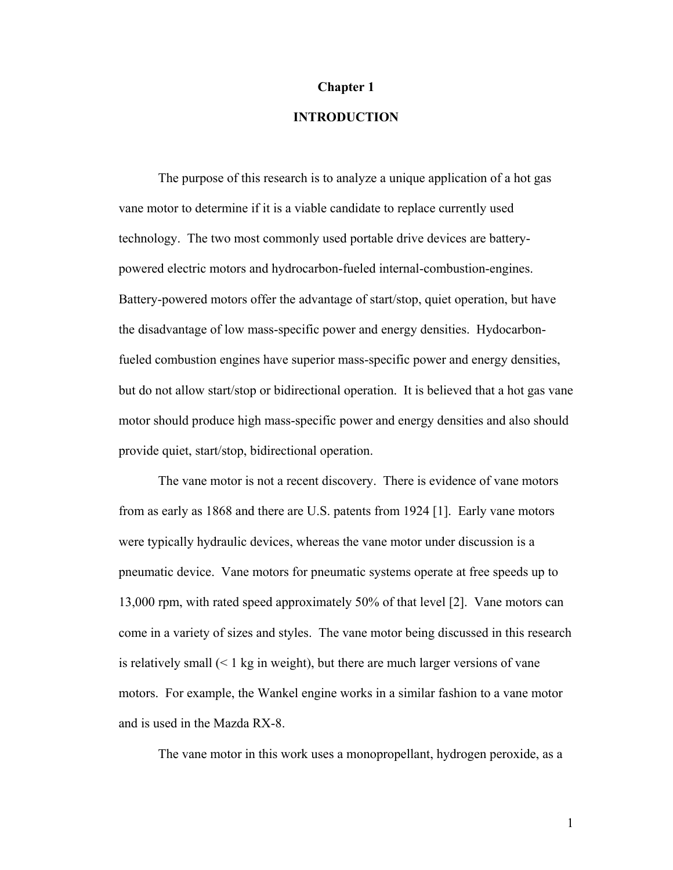#### **Chapter 1**

## **INTRODUCTION**

The purpose of this research is to analyze a unique application of a hot gas vane motor to determine if it is a viable candidate to replace currently used technology. The two most commonly used portable drive devices are batterypowered electric motors and hydrocarbon-fueled internal-combustion-engines. Battery-powered motors offer the advantage of start/stop, quiet operation, but have the disadvantage of low mass-specific power and energy densities. Hydocarbonfueled combustion engines have superior mass-specific power and energy densities, but do not allow start/stop or bidirectional operation. It is believed that a hot gas vane motor should produce high mass-specific power and energy densities and also should provide quiet, start/stop, bidirectional operation.

The vane motor is not a recent discovery. There is evidence of vane motors from as early as 1868 and there are U.S. patents from 1924 [\[1\]](#page-70-0). Early vane motors were typically hydraulic devices, whereas the vane motor under discussion is a pneumatic device. Vane motors for pneumatic systems operate at free speeds up to 13,000 rpm, with rated speed approximately 50% of that level [\[2](#page-70-1)]. Vane motors can come in a variety of sizes and styles. The vane motor being discussed in this research is relatively small  $(< 1 \text{ kg}$  in weight), but there are much larger versions of vane motors. For example, the Wankel engine works in a similar fashion to a vane motor and is used in the Mazda RX-8.

The vane motor in this work uses a monopropellant, hydrogen peroxide, as a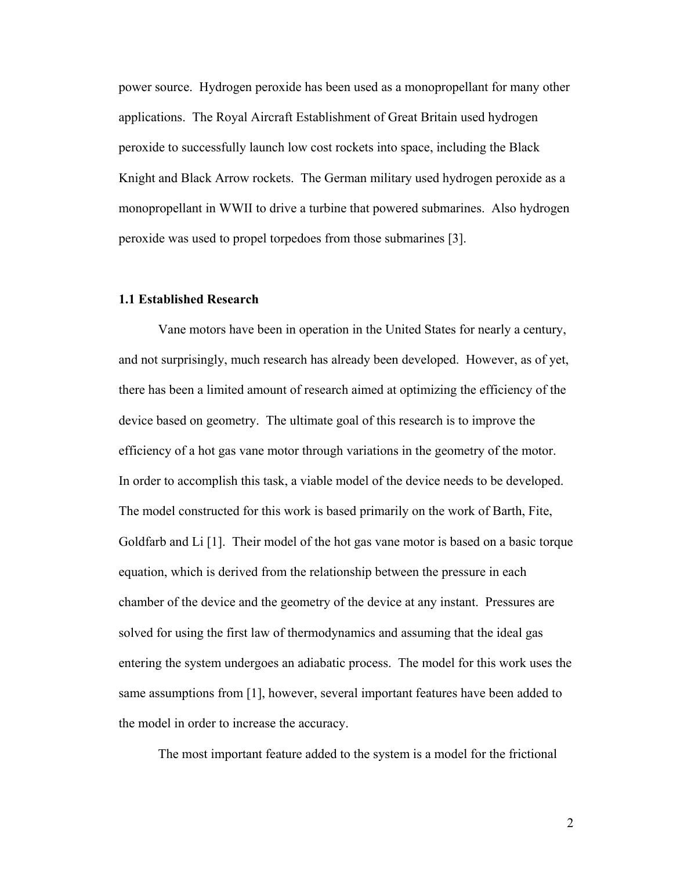power source. Hydrogen peroxide has been used as a monopropellant for many other applications. The Royal Aircraft Establishment of Great Britain used hydrogen peroxide to successfully launch low cost rockets into space, including the Black Knight and Black Arrow rockets. The German military used hydrogen peroxide as a monopropellant in WWII to drive a turbine that powered submarines. Also hydrogen peroxide was used to propel torpedoes from those submarines [\[3\]](#page-70-2).

## **1.1 Established Research**

Vane motors have been in operation in the United States for nearly a century, and not surprisingly, much research has already been developed. However, as of yet, there has been a limited amount of research aimed at optimizing the efficiency of the device based on geometry. The ultimate goal of this research is to improve the efficiency of a hot gas vane motor through variations in the geometry of the motor. In order to accomplish this task, a viable model of the device needs to be developed. The model constructed for this work is based primarily on the work of Barth, Fite, Goldfarb and Li [\[1](#page-70-0)]. Their model of the hot gas vane motor is based on a basic torque equation, which is derived from the relationship between the pressure in each chamber of the device and the geometry of the device at any instant. Pressures are solved for using the first law of thermodynamics and assuming that the ideal gas entering the system undergoes an adiabatic process. The model for this work uses the same assumptions from [\[1](#page-70-0)], however, several important features have been added to the model in order to increase the accuracy.

The most important feature added to the system is a model for the frictional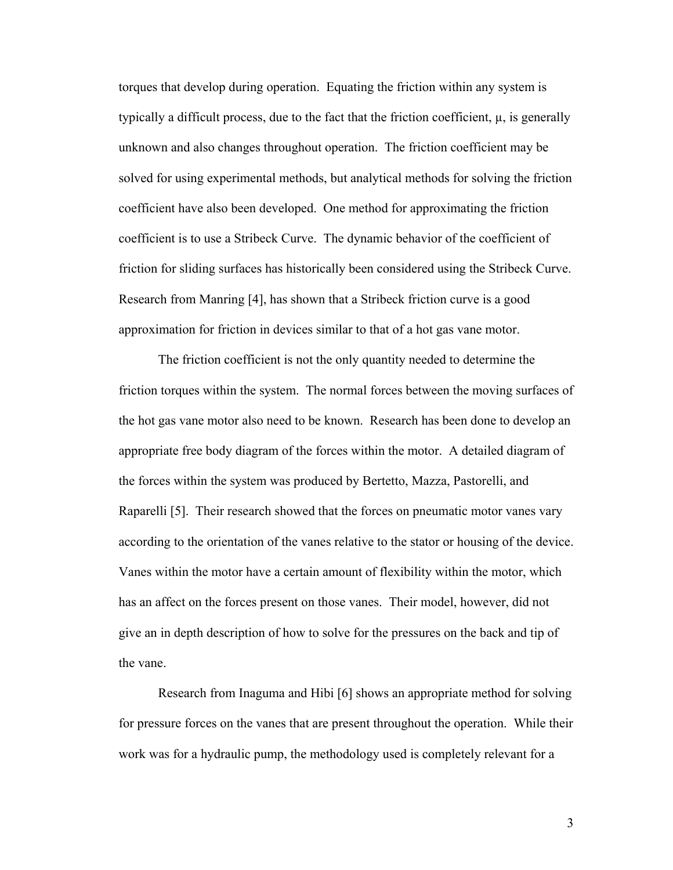torques that develop during operation. Equating the friction within any system is typically a difficult process, due to the fact that the friction coefficient,  $\mu$ , is generally unknown and also changes throughout operation. The friction coefficient may be solved for using experimental methods, but analytical methods for solving the friction coefficient have also been developed. One method for approximating the friction coefficient is to use a Stribeck Curve. The dynamic behavior of the coefficient of friction for sliding surfaces has historically been considered using the Stribeck Curve. Research from Manring [\[4\]](#page-70-3), has shown that a Stribeck friction curve is a good approximation for friction in devices similar to that of a hot gas vane motor.

 The friction coefficient is not the only quantity needed to determine the friction torques within the system. The normal forces between the moving surfaces of the hot gas vane motor also need to be known. Research has been done to develop an appropriate free body diagram of the forces within the motor. A detailed diagram of the forces within the system was produced by Bertetto, Mazza, Pastorelli, and Raparelli [\[5\]](#page-70-4). Their research showed that the forces on pneumatic motor vanes vary according to the orientation of the vanes relative to the stator or housing of the device. Vanes within the motor have a certain amount of flexibility within the motor, which has an affect on the forces present on those vanes. Their model, however, did not give an in depth description of how to solve for the pressures on the back and tip of the vane.

 Research from Inaguma and Hibi [\[6\]](#page-70-5) shows an appropriate method for solving for pressure forces on the vanes that are present throughout the operation. While their work was for a hydraulic pump, the methodology used is completely relevant for a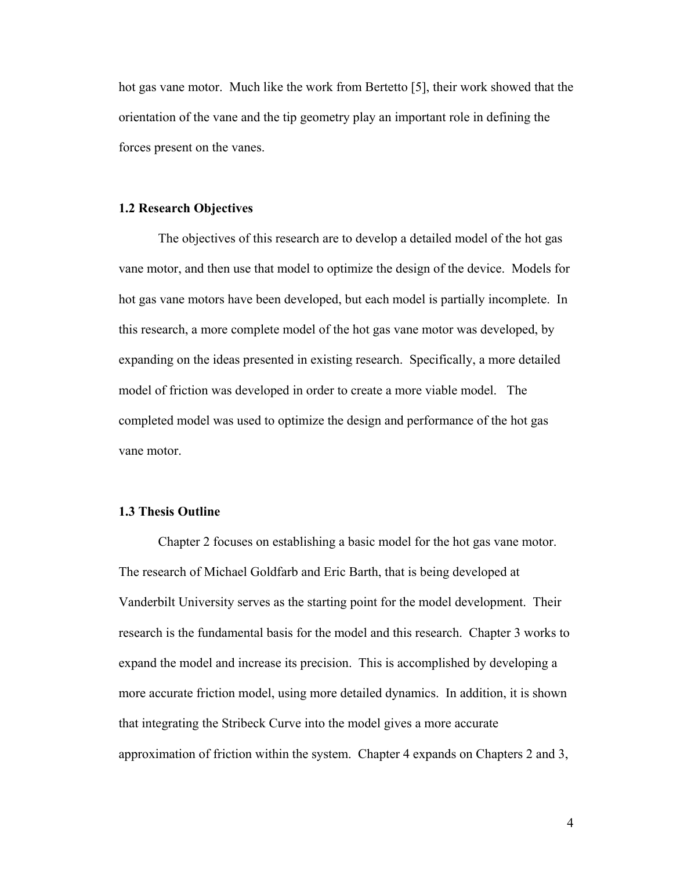hot gas vane motor. Much like the work from Bertetto [\[5\]](#page-70-4), their work showed that the orientation of the vane and the tip geometry play an important role in defining the forces present on the vanes.

#### **1.2 Research Objectives**

The objectives of this research are to develop a detailed model of the hot gas vane motor, and then use that model to optimize the design of the device. Models for hot gas vane motors have been developed, but each model is partially incomplete. In this research, a more complete model of the hot gas vane motor was developed, by expanding on the ideas presented in existing research. Specifically, a more detailed model of friction was developed in order to create a more viable model. The completed model was used to optimize the design and performance of the hot gas vane motor.

### **1.3 Thesis Outline**

Chapter 2 focuses on establishing a basic model for the hot gas vane motor. The research of Michael Goldfarb and Eric Barth, that is being developed at Vanderbilt University serves as the starting point for the model development. Their research is the fundamental basis for the model and this research. Chapter 3 works to expand the model and increase its precision. This is accomplished by developing a more accurate friction model, using more detailed dynamics. In addition, it is shown that integrating the Stribeck Curve into the model gives a more accurate approximation of friction within the system. Chapter 4 expands on Chapters 2 and 3,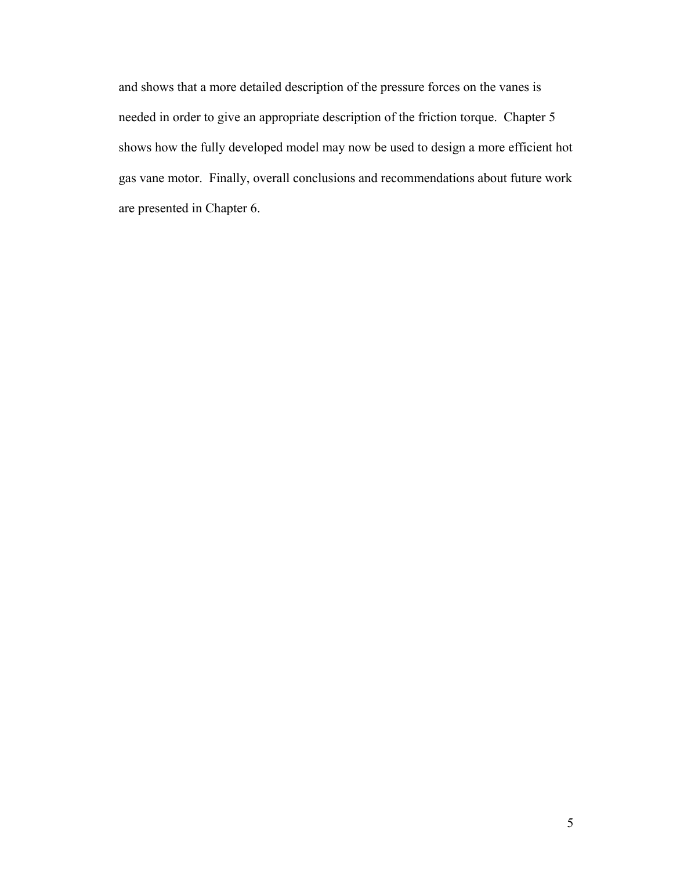and shows that a more detailed description of the pressure forces on the vanes is needed in order to give an appropriate description of the friction torque. Chapter 5 shows how the fully developed model may now be used to design a more efficient hot gas vane motor. Finally, overall conclusions and recommendations about future work are presented in Chapter 6.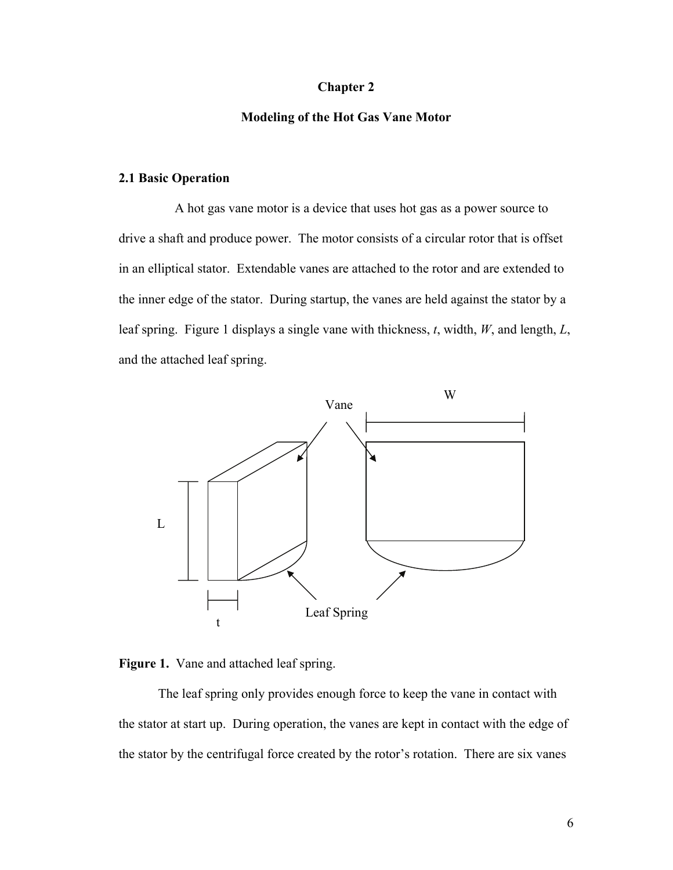## **Chapter 2**

## **Modeling of the Hot Gas Vane Motor**

### **2.1 Basic Operation**

 A hot gas vane motor is a device that uses hot gas as a power source to drive a shaft and produce power. The motor consists of a circular rotor that is offset in an elliptical stator. Extendable vanes are attached to the rotor and are extended to the inner edge of the stator. During startup, the vanes are held against the stator by a leaf spring. [Figure 1](#page-15-0) displays a single vane with thickness, *t*, width, *W*, and length, *L*, and the attached leaf spring.



<span id="page-15-0"></span>

 The leaf spring only provides enough force to keep the vane in contact with the stator at start up. During operation, the vanes are kept in contact with the edge of the stator by the centrifugal force created by the rotor's rotation. There are six vanes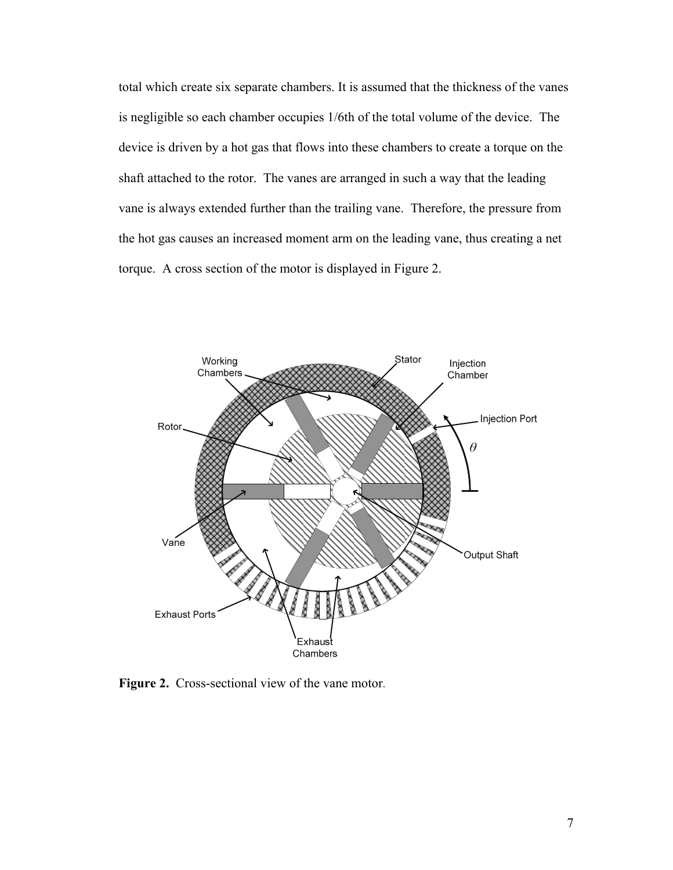total which create six separate chambers. It is assumed that the thickness of the vanes is negligible so each chamber occupies 1/6th of the total volume of the device. The device is driven by a hot gas that flows into these chambers to create a torque on the shaft attached to the rotor. The vanes are arranged in such a way that the leading vane is always extended further than the trailing vane. Therefore, the pressure from the hot gas causes an increased moment arm on the leading vane, thus creating a net torque. A cross section of the motor is displayed in [Figure 2.](#page-16-0)



<span id="page-16-0"></span>Figure 2. Cross-sectional view of the vane motor.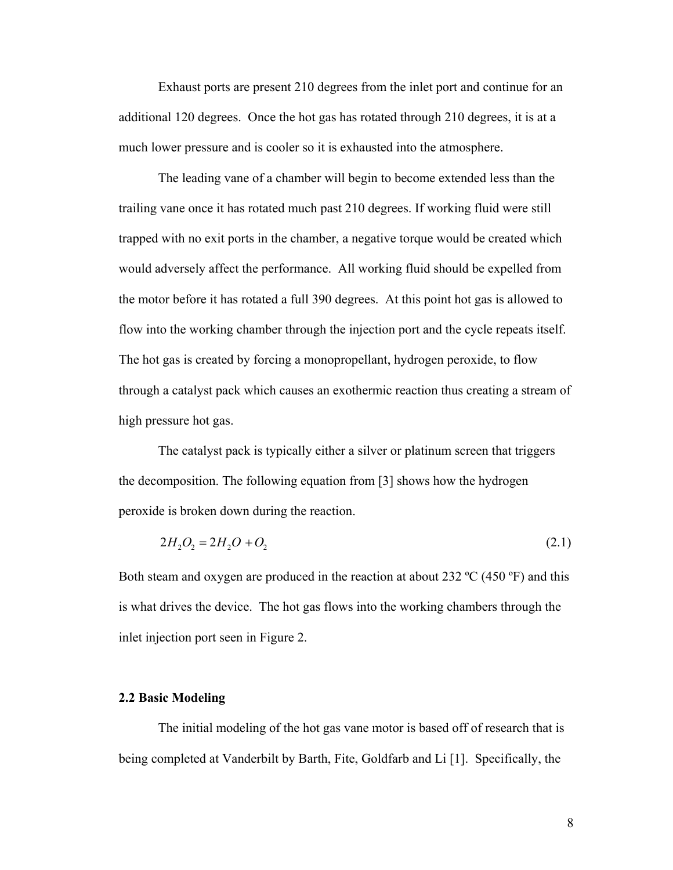Exhaust ports are present 210 degrees from the inlet port and continue for an additional 120 degrees. Once the hot gas has rotated through 210 degrees, it is at a much lower pressure and is cooler so it is exhausted into the atmosphere.

 The leading vane of a chamber will begin to become extended less than the trailing vane once it has rotated much past 210 degrees. If working fluid were still trapped with no exit ports in the chamber, a negative torque would be created which would adversely affect the performance. All working fluid should be expelled from the motor before it has rotated a full 390 degrees. At this point hot gas is allowed to flow into the working chamber through the injection port and the cycle repeats itself. The hot gas is created by forcing a monopropellant, hydrogen peroxide, to flow through a catalyst pack which causes an exothermic reaction thus creating a stream of high pressure hot gas.

 The catalyst pack is typically either a silver or platinum screen that triggers the decomposition. The following equation from [\[3](#page-70-2)] shows how the hydrogen peroxide is broken down during the reaction.

$$
2H_2O_2 = 2H_2O + O_2 \tag{2.1}
$$

Both steam and oxygen are produced in the reaction at about 232  $^{\circ}$ C (450  $^{\circ}$ F) and this is what drives the device. The hot gas flows into the working chambers through the inlet injection port seen in [Figure 2.](#page-16-0)

## **2.2 Basic Modeling**

 The initial modeling of the hot gas vane motor is based off of research that is being completed at Vanderbilt by Barth, Fite, Goldfarb and Li [\[1](#page-70-0)]. Specifically, the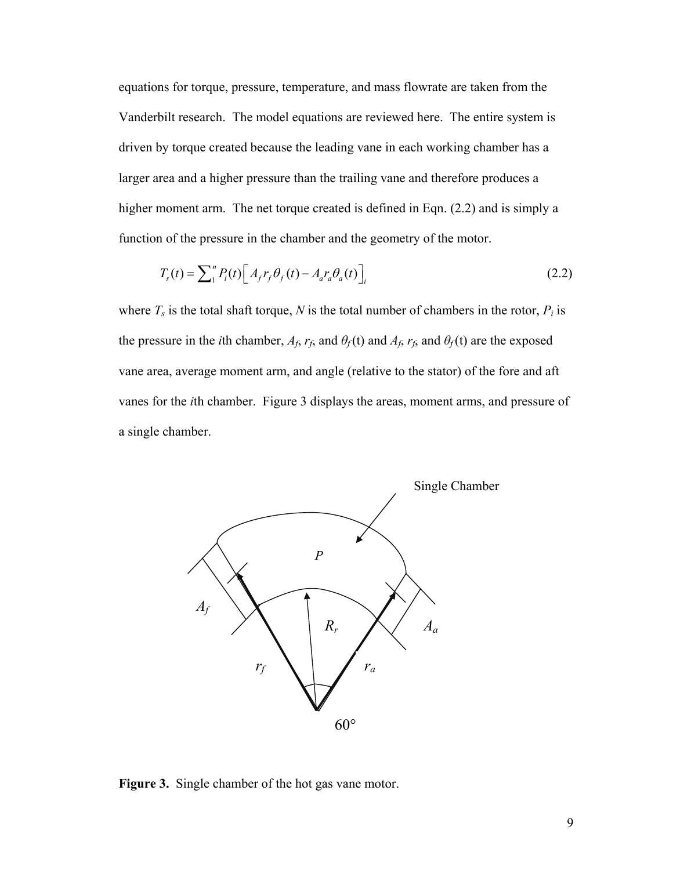equations for torque, pressure, temperature, and mass flowrate are taken from the Vanderbilt research. The model equations are reviewed here. The entire system is driven by torque created because the leading vane in each working chamber has a larger area and a higher pressure than the trailing vane and therefore produces a higher moment arm. The net torque created is defined in Eqn. [\(2.2\)](#page-18-0) and is simply a function of the pressure in the chamber and the geometry of the motor.

$$
T_s(t) = \sum_{i=1}^{n} P_i(t) \left[ A_f r_f \theta_f(t) - A_a r_a \theta_a(t) \right]_i \tag{2.2}
$$

<span id="page-18-0"></span>where  $T_s$  is the total shaft torque,  $N$  is the total number of chambers in the rotor,  $P_i$  is the pressure in the *i*th chamber,  $A_f$ ,  $r_f$ , and  $\theta_f$  (t) and  $A_f$ ,  $r_f$ , and  $\theta_f$  (t) are the exposed vane area, average moment arm, and angle (relative to the stator) of the fore and aft vanes for the *i*th chamber. [Figure 3](#page-18-1) displays the areas, moment arms, and pressure of a single chamber.



<span id="page-18-1"></span>**Figure 3.** Single chamber of the hot gas vane motor.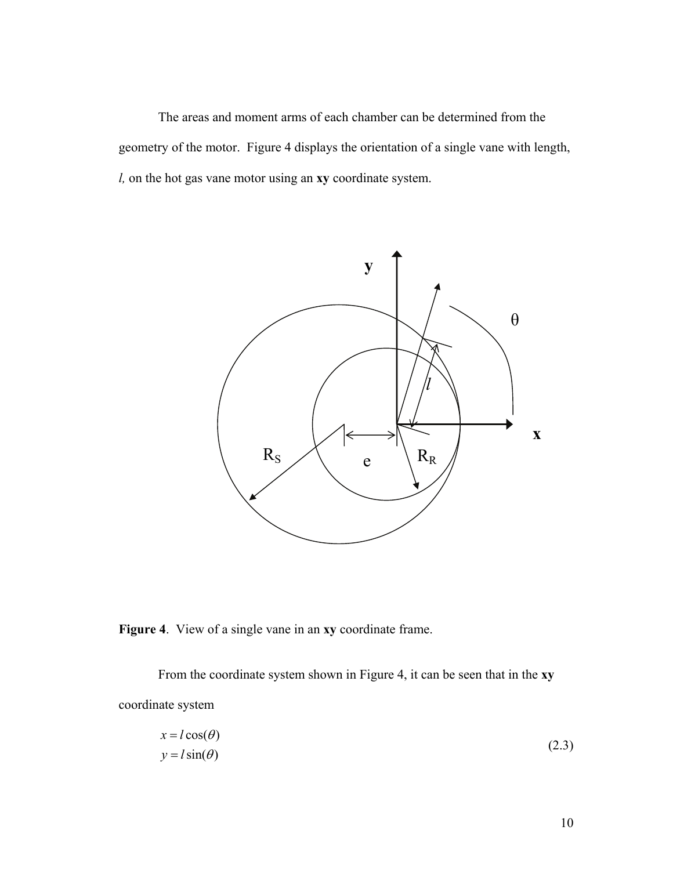The areas and moment arms of each chamber can be determined from the geometry of the motor. Figure 4 displays the orientation of a single vane with length, *l,* on the hot gas vane motor using an **xy** coordinate system.



**Figure 4**. View of a single vane in an **xy** coordinate frame.

<span id="page-19-0"></span> From the coordinate system shown in Figure 4, it can be seen that in the **xy** coordinate system

$$
x = l \cos(\theta) \n y = l \sin(\theta)
$$
\n(2.3)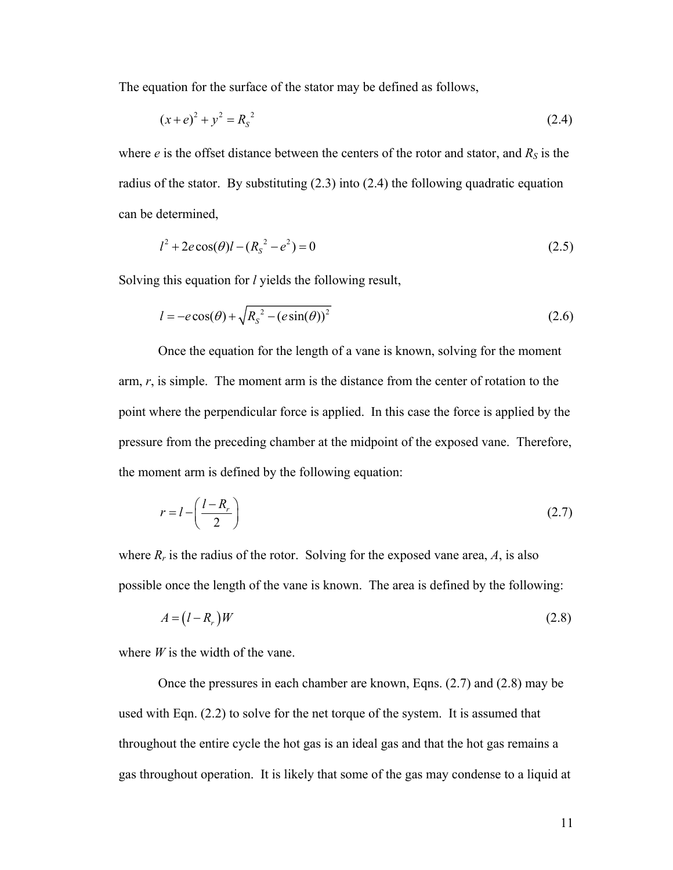<span id="page-20-0"></span>The equation for the surface of the stator may be defined as follows,

$$
(x+e)^2 + y^2 = R_s^2 \tag{2.4}
$$

where  $e$  is the offset distance between the centers of the rotor and stator, and  $R<sub>S</sub>$  is the radius of the stator. By substituting [\(2.3\)](#page-19-0) into [\(2.4\)](#page-20-0) the following quadratic equation can be determined,

$$
l^2 + 2e\cos(\theta)l - (R_s^2 - e^2) = 0\tag{2.5}
$$

<span id="page-20-3"></span>Solving this equation for *l* yields the following result,

$$
l = -e\cos(\theta) + \sqrt{R_s^2 - (e\sin(\theta))^2}
$$
 (2.6)

 Once the equation for the length of a vane is known, solving for the moment arm, *r*, is simple. The moment arm is the distance from the center of rotation to the point where the perpendicular force is applied. In this case the force is applied by the pressure from the preceding chamber at the midpoint of the exposed vane. Therefore, the moment arm is defined by the following equation:

$$
r = l - \left(\frac{l - R_r}{2}\right) \tag{2.7}
$$

<span id="page-20-1"></span>where  $R_r$  is the radius of the rotor. Solving for the exposed vane area,  $A$ , is also possible once the length of the vane is known. The area is defined by the following:

$$
A = (l - Rr)W
$$
 (2.8)

<span id="page-20-2"></span>where *W* is the width of the vane.

 Once the pressures in each chamber are known, Eqns. [\(2.7\)](#page-20-1) and [\(2.8\)](#page-20-2) may be used with Eqn. [\(2.2\)](#page-18-0) to solve for the net torque of the system. It is assumed that throughout the entire cycle the hot gas is an ideal gas and that the hot gas remains a gas throughout operation. It is likely that some of the gas may condense to a liquid at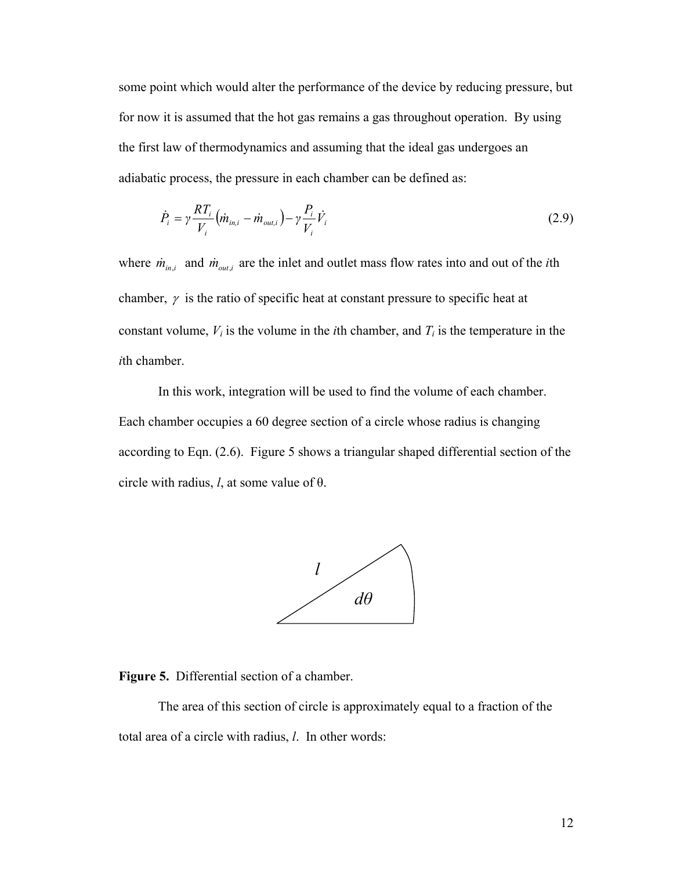some point which would alter the performance of the device by reducing pressure, but for now it is assumed that the hot gas remains a gas throughout operation. By using the first law of thermodynamics and assuming that the ideal gas undergoes an adiabatic process, the pressure in each chamber can be defined as:

$$
\dot{P}_i = \gamma \frac{RT_i}{V_i} \left( \dot{m}_{in,i} - \dot{m}_{out,i} \right) - \gamma \frac{P_i}{V_i} \dot{V}_i
$$
\n(2.9)

<span id="page-21-1"></span>where  $\dot{m}_{in,i}$  and  $\dot{m}_{out,i}$  are the inlet and outlet mass flow rates into and out of the *i*th chamber,  $\gamma$  is the ratio of specific heat at constant pressure to specific heat at constant volume,  $V_i$  is the volume in the *i*th chamber, and  $T_i$  is the temperature in the *i*th chamber.

 In this work, integration will be used to find the volume of each chamber. Each chamber occupies a 60 degree section of a circle whose radius is changing according to Eqn. [\(2.6\).](#page-20-3) [Figure 5](#page-21-0) shows a triangular shaped differential section of the circle with radius, *l*, at some value of θ.



<span id="page-21-0"></span>**Figure 5.** Differential section of a chamber.

 The area of this section of circle is approximately equal to a fraction of the total area of a circle with radius, *l*. In other words: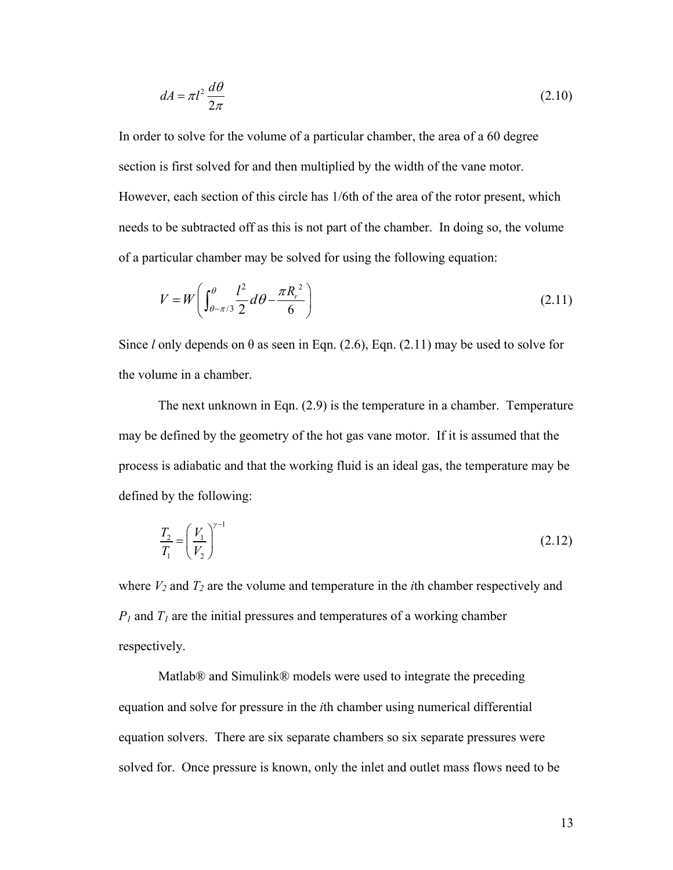$$
dA = \pi l^2 \frac{d\theta}{2\pi} \tag{2.10}
$$

In order to solve for the volume of a particular chamber, the area of a 60 degree section is first solved for and then multiplied by the width of the vane motor. However, each section of this circle has 1/6th of the area of the rotor present, which needs to be subtracted off as this is not part of the chamber. In doing so, the volume of a particular chamber may be solved for using the following equation:

$$
V = W \left( \int_{\theta - \pi/3}^{\theta} \frac{l^2}{2} d\theta - \frac{\pi R_r^2}{6} \right)
$$
 (2.11)

<span id="page-22-0"></span>Since *l* only depends on  $\theta$  as seen in Eqn. [\(2.6\)](#page-20-3), Eqn. [\(2.11\)](#page-22-0) may be used to solve for the volume in a chamber.

 The next unknown in Eqn. [\(2.9\)](#page-21-1) is the temperature in a chamber. Temperature may be defined by the geometry of the hot gas vane motor. If it is assumed that the process is adiabatic and that the working fluid is an ideal gas, the temperature may be defined by the following:

$$
\frac{T_2}{T_1} = \left(\frac{V_1}{V_2}\right)^{\gamma - 1}
$$
\n(2.12)

where  $V_2$  and  $T_2$  are the volume and temperature in the *i*th chamber respectively and  $P_1$  and  $T_1$  are the initial pressures and temperatures of a working chamber respectively.

 Matlab® and Simulink® models were used to integrate the preceding equation and solve for pressure in the *i*th chamber using numerical differential equation solvers. There are six separate chambers so six separate pressures were solved for. Once pressure is known, only the inlet and outlet mass flows need to be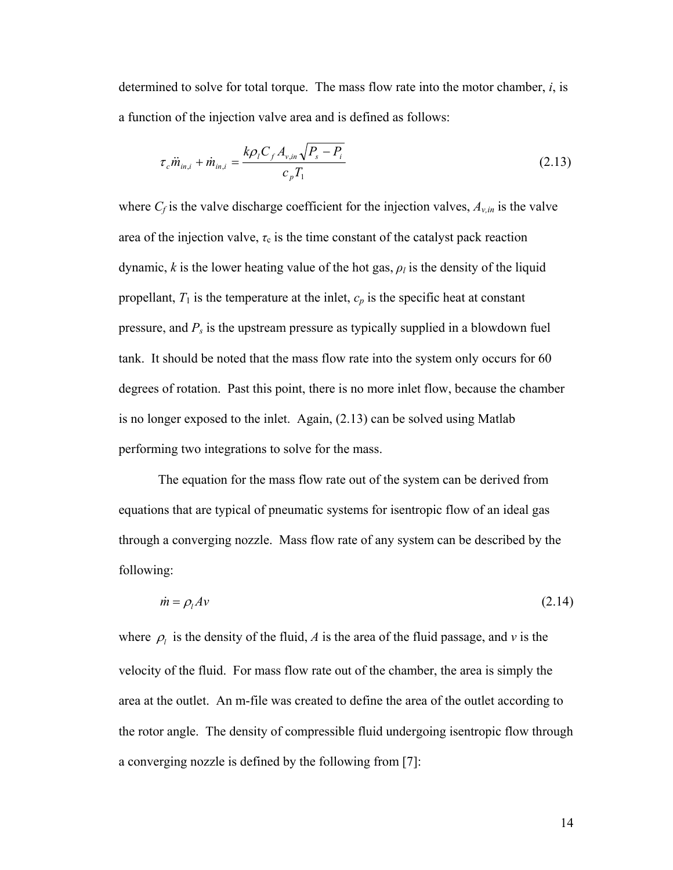<span id="page-23-0"></span>determined to solve for total torque. The mass flow rate into the motor chamber, *i*, is a function of the injection valve area and is defined as follows:

$$
\tau_c \ddot{m}_{in,i} + \dot{m}_{in,i} = \frac{k \rho_i C_f A_{v,in} \sqrt{P_s - P_i}}{c_p T_1}
$$
\n(2.13)

where  $C_f$  is the valve discharge coefficient for the injection valves,  $A_{v,in}$  is the valve area of the injection valve,  $\tau_c$  is the time constant of the catalyst pack reaction dynamic, *k* is the lower heating value of the hot gas,  $\rho_l$  is the density of the liquid propellant,  $T_1$  is the temperature at the inlet,  $c_p$  is the specific heat at constant pressure, and *Ps* is the upstream pressure as typically supplied in a blowdown fuel tank. It should be noted that the mass flow rate into the system only occurs for 60 degrees of rotation. Past this point, there is no more inlet flow, because the chamber is no longer exposed to the inlet. Again, [\(2.13\)](#page-23-0) can be solved using Matlab performing two integrations to solve for the mass.

 The equation for the mass flow rate out of the system can be derived from equations that are typical of pneumatic systems for isentropic flow of an ideal gas through a converging nozzle. Mass flow rate of any system can be described by the following:

$$
\dot{m} = \rho_l A v \tag{2.14}
$$

<span id="page-23-1"></span>where  $\rho_l$  is the density of the fluid, *A* is the area of the fluid passage, and *v* is the velocity of the fluid. For mass flow rate out of the chamber, the area is simply the area at the outlet. An m-file was created to define the area of the outlet according to the rotor angle. The density of compressible fluid undergoing isentropic flow through a converging nozzle is defined by the following from [\[7](#page-70-6)]: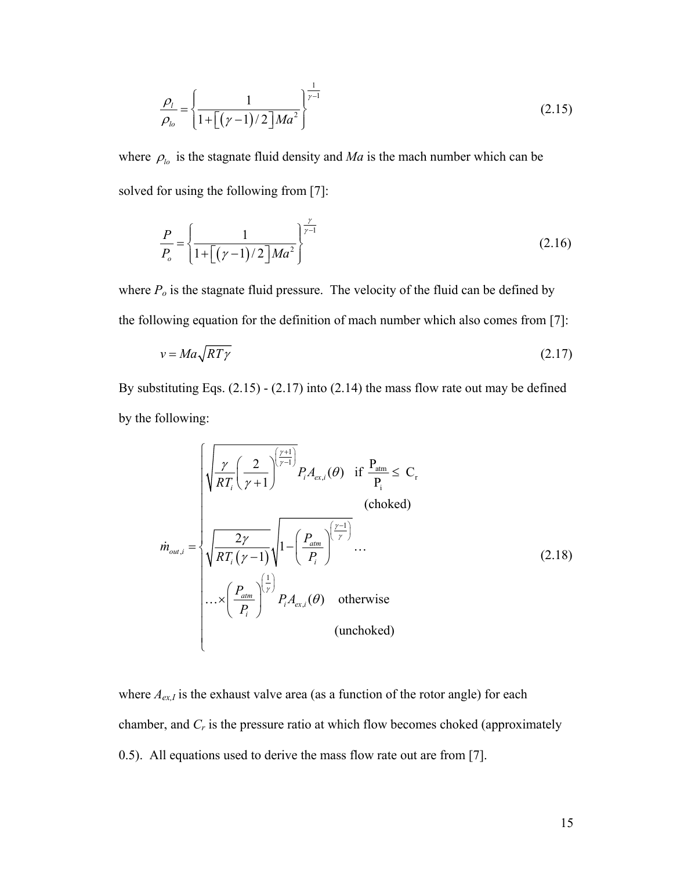$$
\frac{\rho_l}{\rho_{lo}} = \left\{ \frac{1}{1 + \left[ (\gamma - 1)/2 \right] Ma^2} \right\}^{\frac{1}{\gamma - 1}}
$$
\n(2.15)

<span id="page-24-0"></span>where  $\rho_{lo}$  is the stagnate fluid density and *Ma* is the mach number which can be solved for using the following from [\[7\]](#page-70-6):

$$
\frac{P}{P_o} = \left\{ \frac{1}{1 + \left[ (\gamma - 1)/2 \right] Ma^2} \right\}^{\frac{\gamma}{\gamma - 1}}
$$
\n(2.16)

where  $P<sub>o</sub>$  is the stagnate fluid pressure. The velocity of the fluid can be defined by the following equation for the definition of mach number which also comes from [\[7](#page-70-6)]:

$$
v = Ma\sqrt{RT\gamma} \tag{2.17}
$$

<span id="page-24-2"></span><span id="page-24-1"></span>By substituting Eqs.  $(2.15) - (2.17)$  $(2.15) - (2.17)$  into  $(2.14)$  the mass flow rate out may be defined by the following:

$$
\dot{m}_{out,i} = \begin{cases}\n\sqrt{\frac{\gamma}{RT_i} \left(\frac{2}{\gamma + 1}\right)} P_i A_{ex,i}(\theta) & \text{if } \frac{P_{atm}}{P_i} \leq C_r \\
\sqrt{\frac{2\gamma}{RT_i (\gamma - 1)}} \sqrt{1 - \left(\frac{P_{atm}}{P_i}\right)^{\left(\frac{\gamma - 1}{\gamma}\right)}} \dots \\
\cdots \\
\sqrt{\frac{P_{atm}}{RT_i (\gamma - 1)}} \sqrt{1 - \left(\frac{P_{atm}}{P_i}\right)^{\left(\frac{\gamma}{\gamma}\right)}} P_i A_{ex,i}(\theta) & \text{otherwise} \\
\cdots \\
\sqrt{\left(\frac{P_{atm}}{P_i}\right)} P_i A_{ex,i}(\theta) & \text{otherwise} \\
(\text{unchoked})\n\end{cases} (2.18)
$$

where  $A_{ex,I}$  is the exhaust valve area (as a function of the rotor angle) for each chamber, and *Cr* is the pressure ratio at which flow becomes choked (approximately 0.5). All equations used to derive the mass flow rate out are from [\[7](#page-70-6)].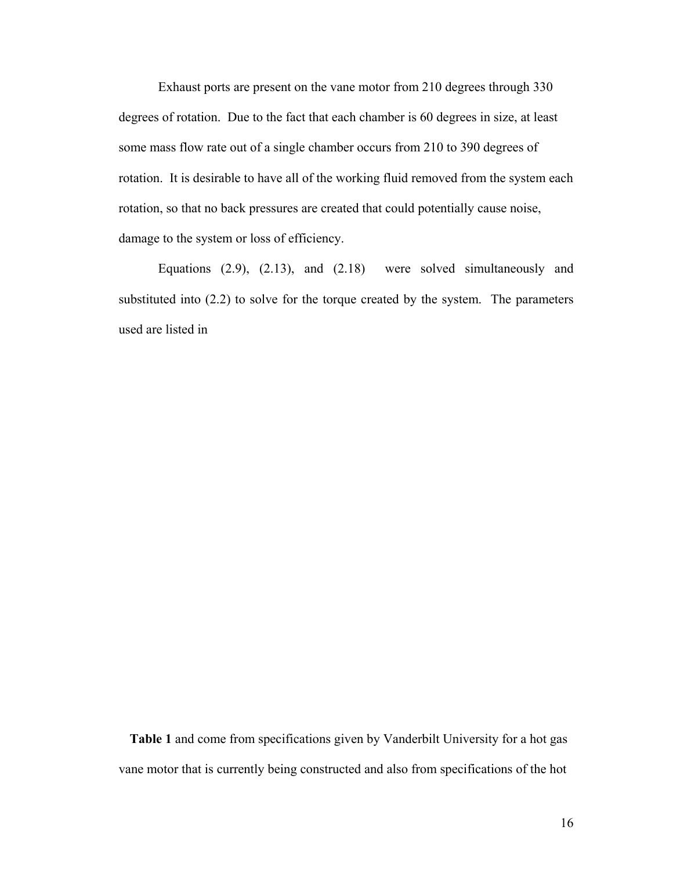Exhaust ports are present on the vane motor from 210 degrees through 330 degrees of rotation. Due to the fact that each chamber is 60 degrees in size, at least some mass flow rate out of a single chamber occurs from 210 to 390 degrees of rotation. It is desirable to have all of the working fluid removed from the system each rotation, so that no back pressures are created that could potentially cause noise, damage to the system or loss of efficiency.

 Equations [\(2.9\)](#page-21-1), [\(2.13\)](#page-23-0), and [\(2.18\)](#page-24-2) were solved simultaneously and substituted into [\(2.2\)](#page-18-0) to solve for the torque created by the system. The parameters used are listed in

**Table 1** and come from specifications given by Vanderbilt University for a hot gas vane motor that is currently being constructed and also from specifications of the hot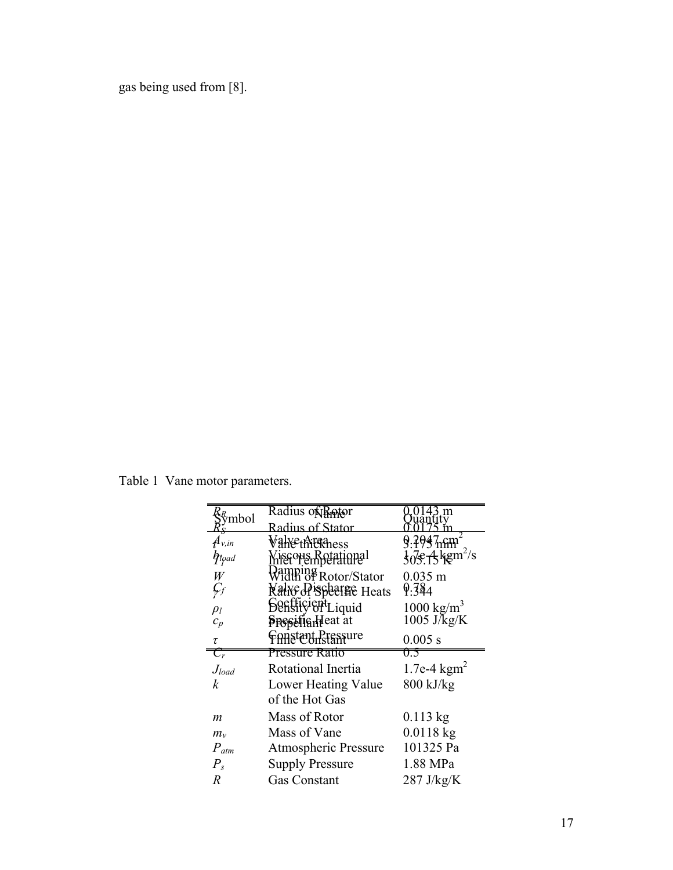<span id="page-26-0"></span>gas being used from [8].

Table 1 Vane motor parameters.

| mbol                                              | Radius of Reptor                | m                                                  |
|---------------------------------------------------|---------------------------------|----------------------------------------------------|
|                                                   | Radius of Stator                |                                                    |
| $\mu_{v,in}$                                      | VahethitRhess                   |                                                    |
| $\eta_{\mathrm{1}\mathrm{p}\mathrm{a}\mathrm{d}}$ | Miscous Rotational              | $\frac{1}{5}$ of $\frac{4}{5}$ kgm <sup>2</sup> /s |
| W                                                 | amping<br>Vidth of Rotor/Stator | $0.035$ m                                          |
| Ģf                                                | <b>Nalve Pischarge Heats</b>    | 9.384                                              |
| $\rho_l$                                          | <b>Sentity of Liquid</b>        | 1000 kg/m <sup>3</sup>                             |
| $c_p$                                             | <b>Presifianteat</b> at         | $1005$ J/ $\text{kg/K}$                            |
| τ                                                 | Constant Pressure               | 0.005 s                                            |
| $\overline{\mathcal{C}_r}$                        | <b>Pressure Ratio</b>           | U.S                                                |
| $J_{load}$                                        | Rotational Inertia              | 1.7e-4 $kgm^2$                                     |
| $\boldsymbol{k}$                                  |                                 |                                                    |
|                                                   | Lower Heating Value             | $800$ kJ/kg                                        |
|                                                   | of the Hot Gas                  |                                                    |
| $\boldsymbol{m}$                                  | Mass of Rotor                   | $0.113$ kg                                         |
| $m_{v}$                                           | Mass of Vane                    | $0.0118$ kg                                        |
| $P_{atm}$                                         | Atmospheric Pressure            | 101325 Pa                                          |
| $P_{s}$                                           | <b>Supply Pressure</b>          | 1.88 MPa                                           |
| $\overline{R}$                                    | <b>Gas Constant</b>             | 287 J/kg/K                                         |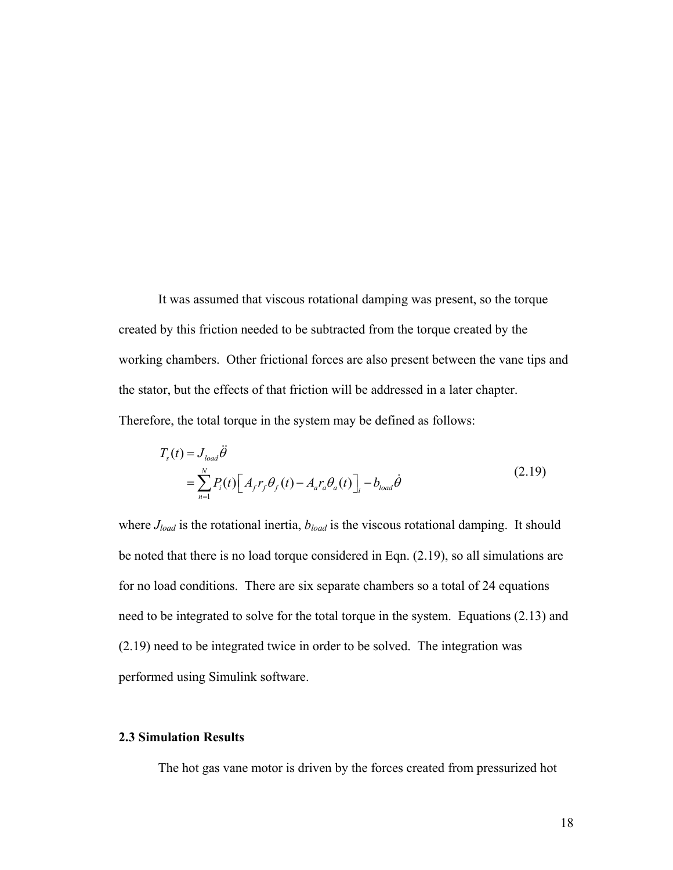It was assumed that viscous rotational damping was present, so the torque created by this friction needed to be subtracted from the torque created by the working chambers. Other frictional forces are also present between the vane tips and the stator, but the effects of that friction will be addressed in a later chapter. Therefore, the total torque in the system may be defined as follows:

$$
T_s(t) = J_{load}\ddot{\theta}
$$
  
= 
$$
\sum_{n=1}^{N} P_i(t) \Big[ A_f r_f \theta_f(t) - A_a r_a \theta_a(t) \Big]_i - b_{load}\dot{\theta}
$$
 (2.19)

where  $J_{load}$  is the rotational inertia,  $b_{load}$  is the viscous rotational damping. It should be noted that there is no load torque considered in Eqn. (2.19), so all simulations are for no load conditions. There are six separate chambers so a total of 24 equations need to be integrated to solve for the total torque in the system. Equations (2.13) and (2.19) need to be integrated twice in order to be solved. The integration was performed using Simulink software.

## **2.3 Simulation Results**

The hot gas vane motor is driven by the forces created from pressurized hot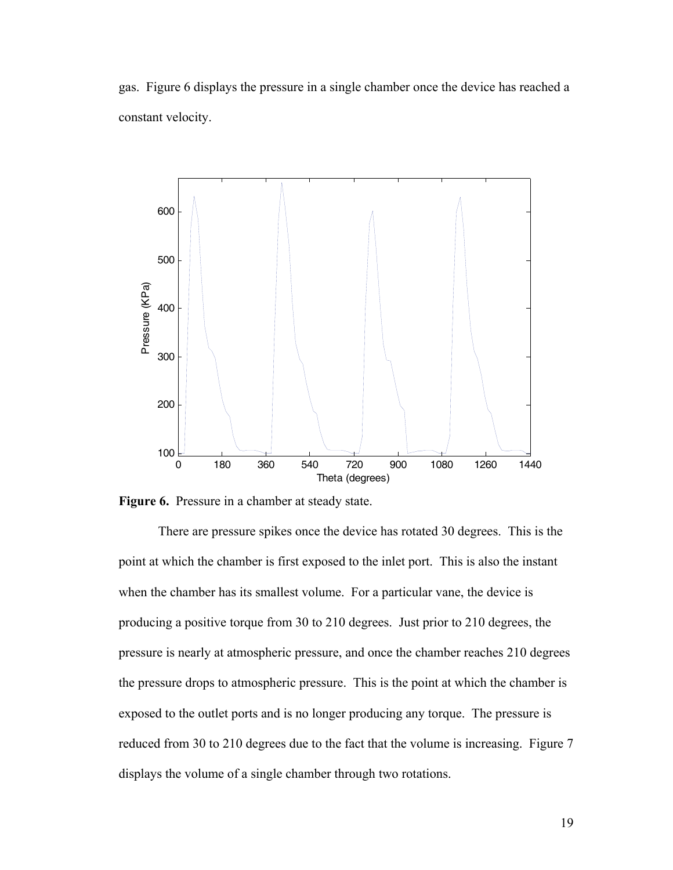gas. Figure 6 displays the pressure in a single chamber once the device has reached a constant velocity.





 There are pressure spikes once the device has rotated 30 degrees. This is the point at which the chamber is first exposed to the inlet port. This is also the instant when the chamber has its smallest volume. For a particular vane, the device is producing a positive torque from 30 to 210 degrees. Just prior to 210 degrees, the pressure is nearly at atmospheric pressure, and once the chamber reaches 210 degrees the pressure drops to atmospheric pressure. This is the point at which the chamber is exposed to the outlet ports and is no longer producing any torque. The pressure is reduced from 30 to 210 degrees due to the fact that the volume is increasing. Figure 7 displays the volume of a single chamber through two rotations.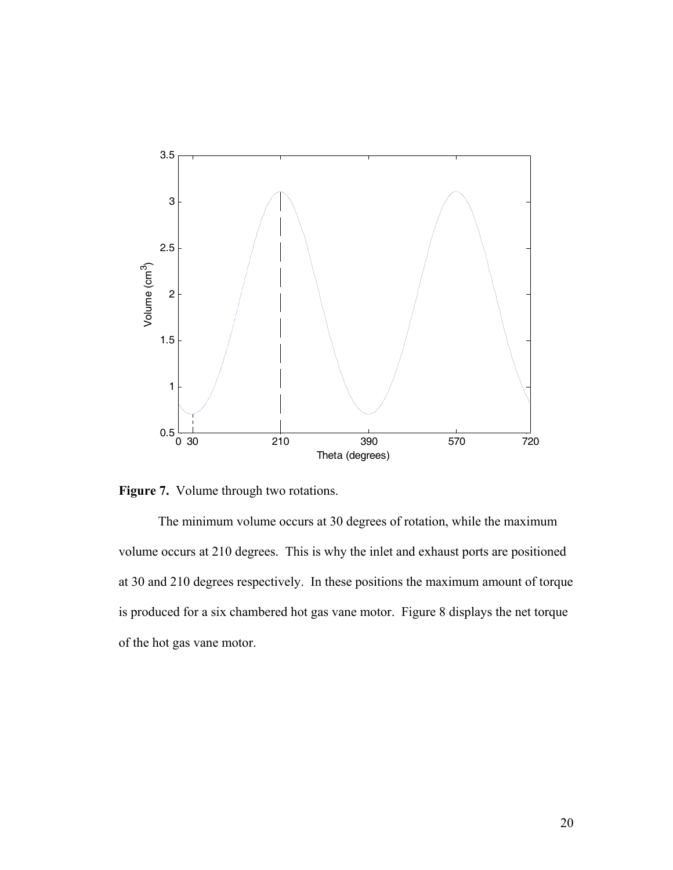

**Figure 7.** Volume through two rotations.

 The minimum volume occurs at 30 degrees of rotation, while the maximum volume occurs at 210 degrees. This is why the inlet and exhaust ports are positioned at 30 and 210 degrees respectively. In these positions the maximum amount of torque is produced for a six chambered hot gas vane motor. Figure 8 displays the net torque of the hot gas vane motor.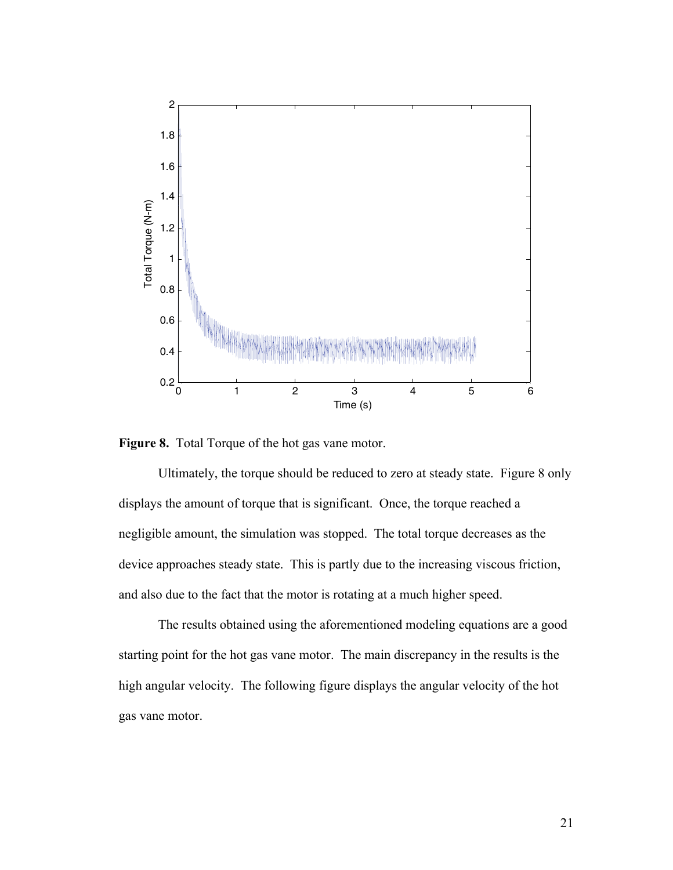



 Ultimately, the torque should be reduced to zero at steady state. Figure 8 only displays the amount of torque that is significant. Once, the torque reached a negligible amount, the simulation was stopped. The total torque decreases as the device approaches steady state. This is partly due to the increasing viscous friction, and also due to the fact that the motor is rotating at a much higher speed.

 The results obtained using the aforementioned modeling equations are a good starting point for the hot gas vane motor. The main discrepancy in the results is the high angular velocity. The following figure displays the angular velocity of the hot gas vane motor.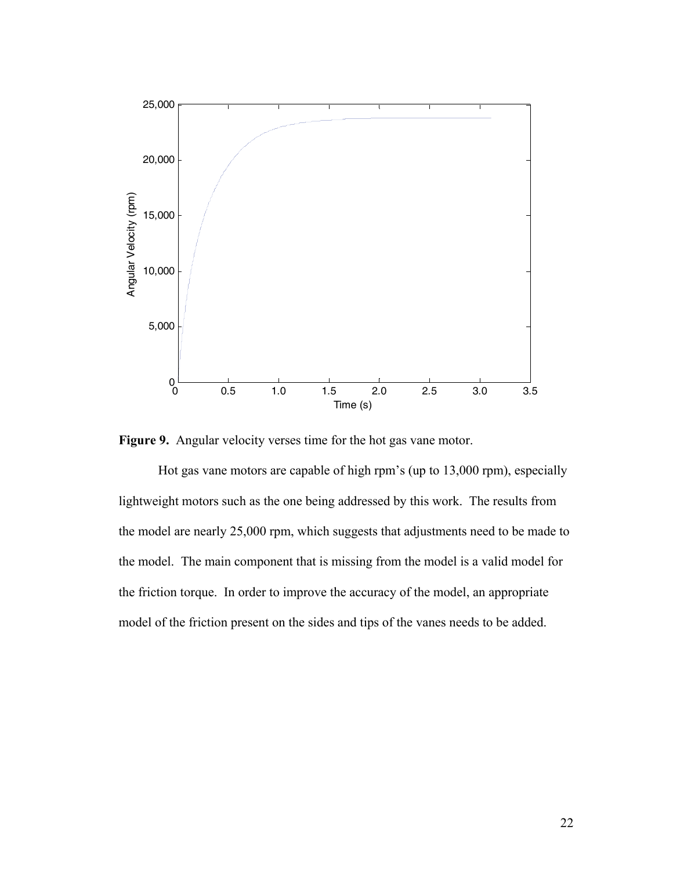

**Figure 9.** Angular velocity verses time for the hot gas vane motor.

 Hot gas vane motors are capable of high rpm's (up to 13,000 rpm), especially lightweight motors such as the one being addressed by this work. The results from the model are nearly 25,000 rpm, which suggests that adjustments need to be made to the model. The main component that is missing from the model is a valid model for the friction torque. In order to improve the accuracy of the model, an appropriate model of the friction present on the sides and tips of the vanes needs to be added.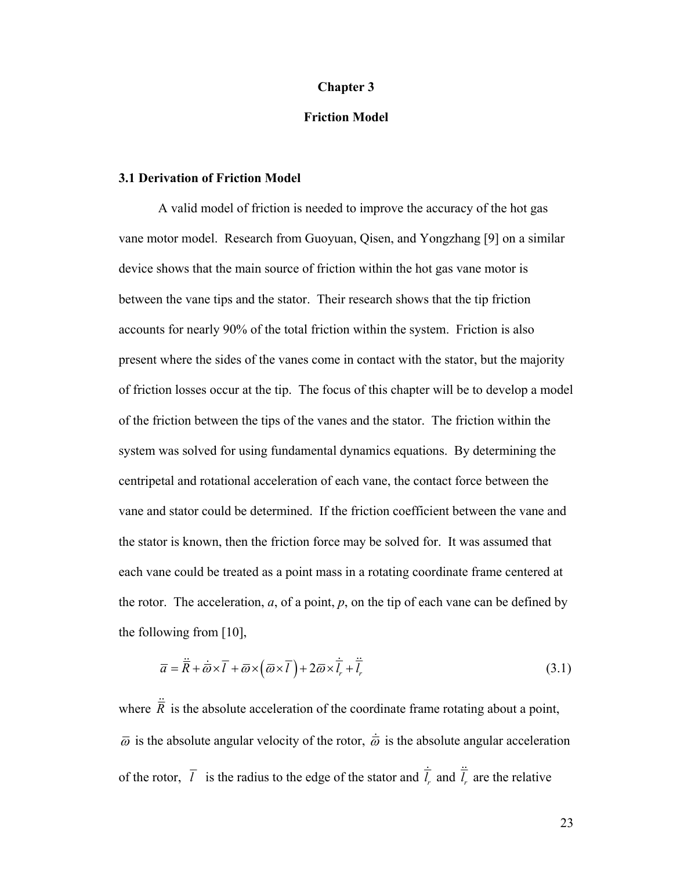#### **Chapter 3**

## **Friction Model**

#### **3.1 Derivation of Friction Model**

A valid model of friction is needed to improve the accuracy of the hot gas vane motor model. Research from Guoyuan, Qisen, and Yongzhang [9] on a similar device shows that the main source of friction within the hot gas vane motor is between the vane tips and the stator. Their research shows that the tip friction accounts for nearly 90% of the total friction within the system. Friction is also present where the sides of the vanes come in contact with the stator, but the majority of friction losses occur at the tip. The focus of this chapter will be to develop a model of the friction between the tips of the vanes and the stator. The friction within the system was solved for using fundamental dynamics equations. By determining the centripetal and rotational acceleration of each vane, the contact force between the vane and stator could be determined. If the friction coefficient between the vane and the stator is known, then the friction force may be solved for. It was assumed that each vane could be treated as a point mass in a rotating coordinate frame centered at the rotor. The acceleration, *a*, of a point, *p*, on the tip of each vane can be defined by the following from [10],

$$
\overline{a} = \overline{R} + \overline{\omega} \times \overline{l} + \overline{\omega} \times (\overline{\omega} \times \overline{l}) + 2\overline{\omega} \times \overline{l}_r + \overline{l}_r
$$
\n(3.1)

where  $\ddot{\vec{R}}$  is the absolute acceleration of the coordinate frame rotating about a point,  $\overline{\omega}$  is the absolute angular velocity of the rotor,  $\dot{\overline{\omega}}$  is the absolute angular acceleration of the rotor,  $\overline{l}$  is the radius to the edge of the stator and  $\overline{l}$ , *l* is the radius to the edge of the stator and  $\dot{\bar{l}}_r$  and  $\ddot{\bar{l}}_r$  are the relative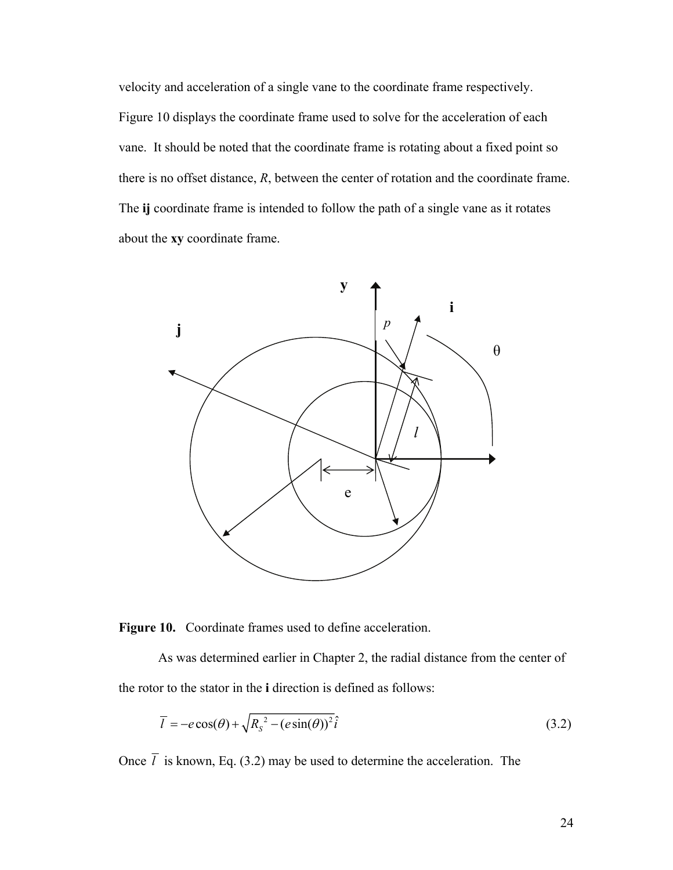velocity and acceleration of a single vane to the coordinate frame respectively. Figure 10 displays the coordinate frame used to solve for the acceleration of each vane. It should be noted that the coordinate frame is rotating about a fixed point so there is no offset distance, *R*, between the center of rotation and the coordinate frame. The **ij** coordinate frame is intended to follow the path of a single vane as it rotates about the **xy** coordinate frame.





 As was determined earlier in Chapter 2, the radial distance from the center of the rotor to the stator in the **i** direction is defined as follows:

$$
\overline{l} = -e\cos(\theta) + \sqrt{R_s^2 - (e\sin(\theta))^2}\hat{i}
$$
\n(3.2)

Once  $\bar{l}$  is known, Eq. (3.2) may be used to determine the acceleration. The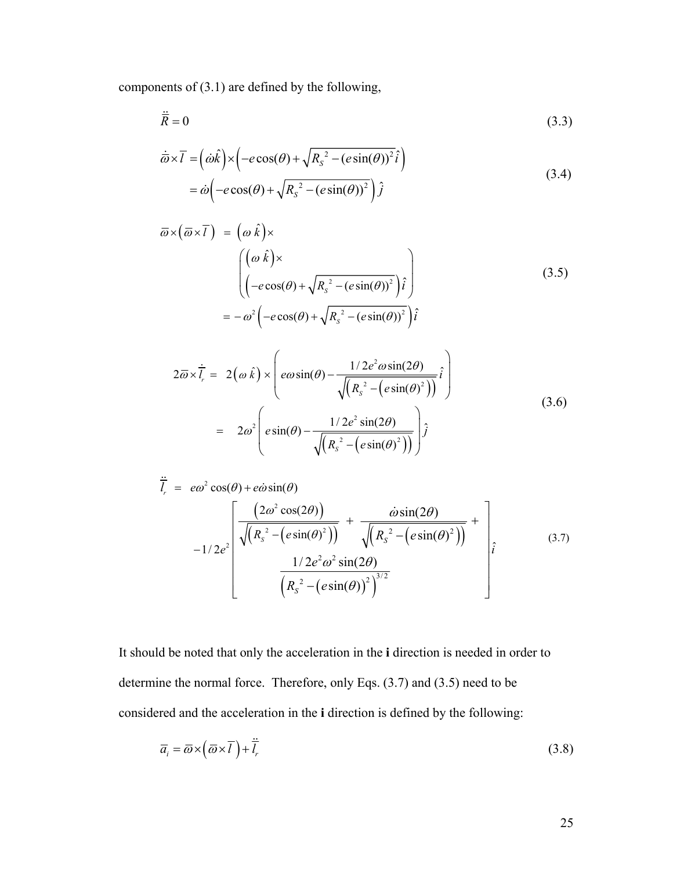components of (3.1) are defined by the following,

$$
\ddot{\overline{R}} = 0 \tag{3.3}
$$

$$
\overline{\omega} \times \overline{l} = (\omega \hat{k}) \times (-e \cos(\theta) + \sqrt{R_s^2 - (e \sin(\theta))^2} \hat{i})
$$
  
=  $\omega \left( -e \cos(\theta) + \sqrt{R_s^2 - (e \sin(\theta))^2} \right) \hat{j}$  (3.4)

$$
\overline{\omega} \times (\overline{\omega} \times \overline{I}) = (\omega \hat{k}) \times
$$
  
\n
$$
\begin{pmatrix}\n(\omega \hat{k}) \times \\
(-e \cos(\theta) + \sqrt{R_s^2 - (e \sin(\theta))^2})\hat{i}\n\end{pmatrix}
$$
\n
$$
= -\omega^2 \left(-e \cos(\theta) + \sqrt{R_s^2 - (e \sin(\theta))^2}\right)\hat{i}
$$
\n(3.5)

$$
2\overline{\omega} \times \overline{l_r} = 2(\omega \hat{k}) \times \left( e\omega \sin(\theta) - \frac{1/2e^2 \omega \sin(2\theta)}{\sqrt{\left(R_s^2 - \left(e\sin(\theta)^2\right)\right)}} \hat{i} \right)
$$
  
= 
$$
2\omega^2 \left( e\sin(\theta) - \frac{1/2e^2 \sin(2\theta)}{\sqrt{\left(R_s^2 - \left(e\sin(\theta)^2\right)\right)}} \hat{j} \right)
$$
(3.6)

$$
\frac{\partial}{\partial t} = e\omega^2 \cos(\theta) + e\omega \sin(\theta)
$$
\n
$$
-1/2e^2 \left[ \frac{\left(2\omega^2 \cos(2\theta)\right)}{\sqrt{\left(R_s^2 - \left(e\sin(\theta)^2\right)\right)}} + \frac{\omega \sin(2\theta)}{\sqrt{\left(R_s^2 - \left(e\sin(\theta)^2\right)\right)}} + \frac{\omega \sin(2\theta)}{\left(R_s^2 - \left(e\sin(\theta)^2\right)\right)} \right] \hat{i}
$$
\n(3.7)

It should be noted that only the acceleration in the **i** direction is needed in order to determine the normal force. Therefore, only Eqs. (3.7) and (3.5) need to be considered and the acceleration in the **i** direction is defined by the following:

$$
\overline{a}_i = \overline{\omega} \times (\overline{\omega} \times \overline{I}) + \overline{I}_r \tag{3.8}
$$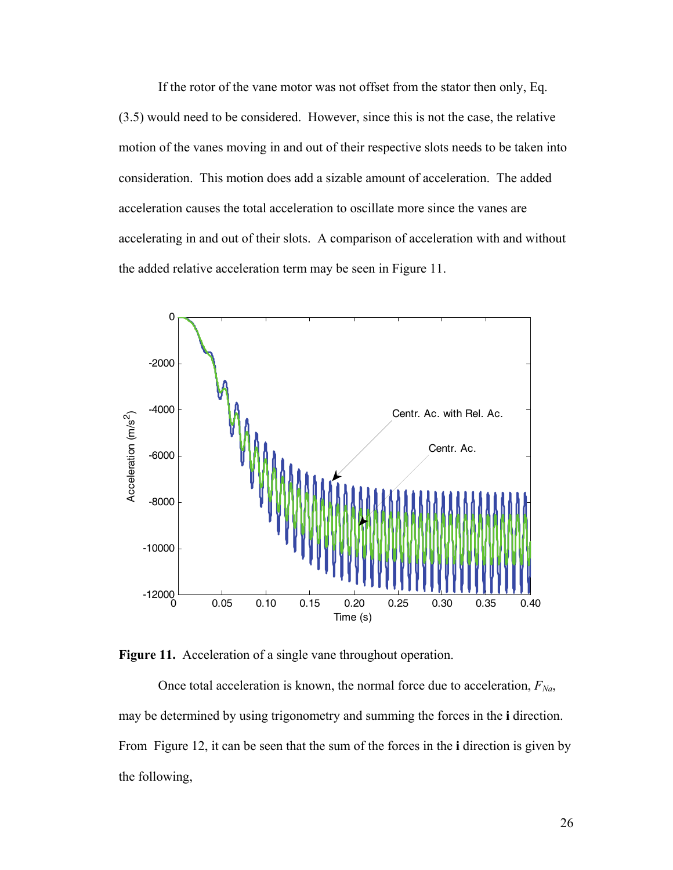If the rotor of the vane motor was not offset from the stator then only, Eq. (3.5) would need to be considered. However, since this is not the case, the relative motion of the vanes moving in and out of their respective slots needs to be taken into consideration. This motion does add a sizable amount of acceleration. The added acceleration causes the total acceleration to oscillate more since the vanes are accelerating in and out of their slots. A comparison of acceleration with and without the added relative acceleration term may be seen in Figure 11.





Once total acceleration is known, the normal force due to acceleration,  $F_{Na}$ , may be determined by using trigonometry and summing the forces in the **i** direction. From Figure 12, it can be seen that the sum of the forces in the **i** direction is given by the following,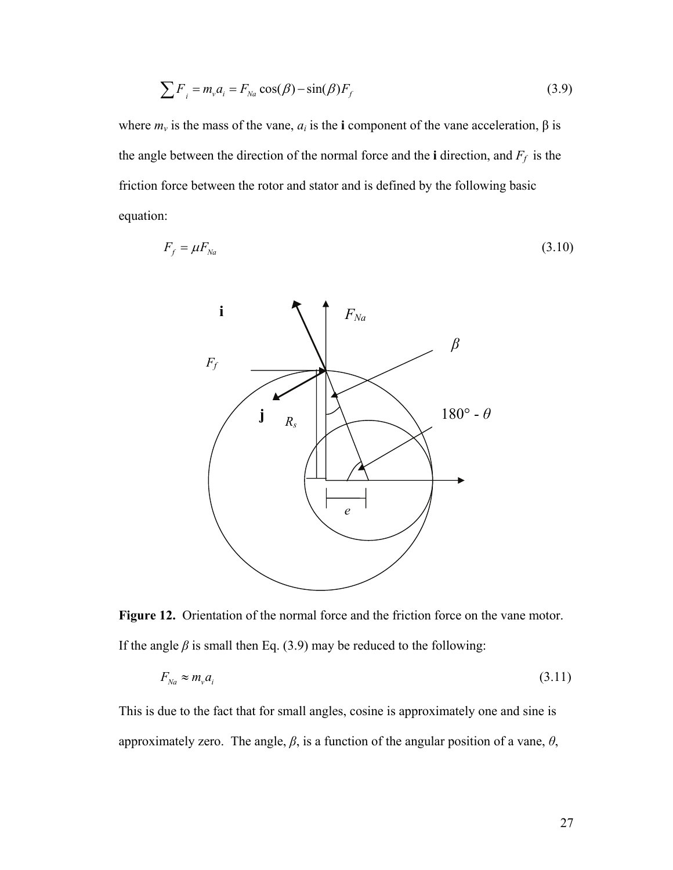$$
\sum F_i = m_v a_i = F_{Na} \cos(\beta) - \sin(\beta) F_f \tag{3.9}
$$

where  $m_v$  is the mass of the vane,  $a_i$  is the **i** component of the vane acceleration,  $\beta$  is the angle between the direction of the normal force and the **i** direction, and  $F_f$  is the friction force between the rotor and stator and is defined by the following basic equation:

$$
F_f = \mu F_{Na} \tag{3.10}
$$



**Figure 12.** Orientation of the normal force and the friction force on the vane motor. If the angle  $\beta$  is small then Eq. (3.9) may be reduced to the following:

$$
F_{Na} \approx m_v a_i \tag{3.11}
$$

This is due to the fact that for small angles, cosine is approximately one and sine is approximately zero. The angle,  $\beta$ , is a function of the angular position of a vane,  $\theta$ ,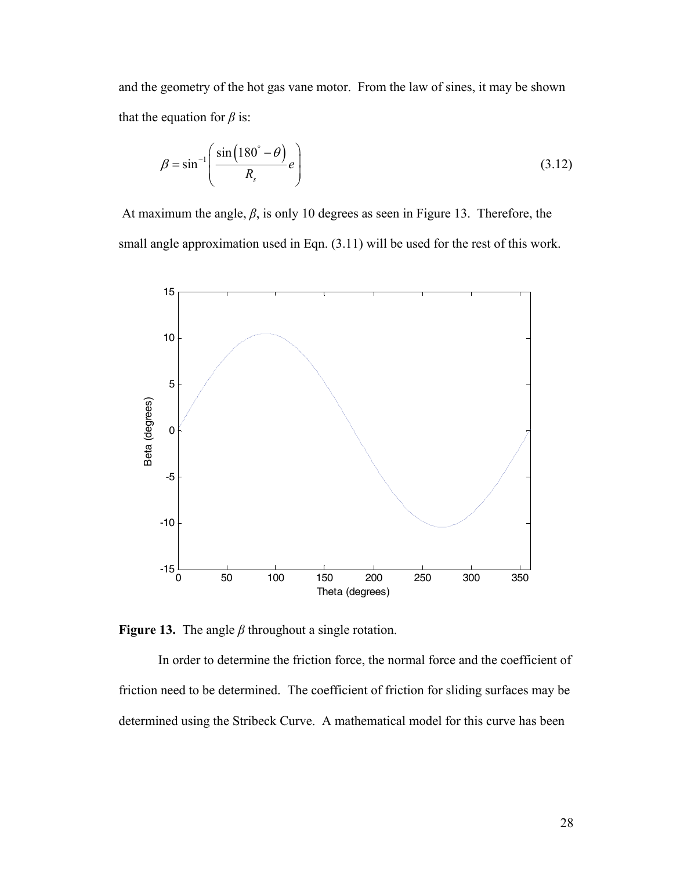and the geometry of the hot gas vane motor. From the law of sines, it may be shown that the equation for  $\beta$  is:

$$
\beta = \sin^{-1}\left(\frac{\sin\left(180^\circ - \theta\right)}{R_s}e\right) \tag{3.12}
$$

 At maximum the angle, *β*, is only 10 degrees as seen in Figure 13. Therefore, the small angle approximation used in Eqn. (3.11) will be used for the rest of this work.



**Figure 13.** The angle *β* throughout a single rotation.

In order to determine the friction force, the normal force and the coefficient of friction need to be determined. The coefficient of friction for sliding surfaces may be determined using the Stribeck Curve. A mathematical model for this curve has been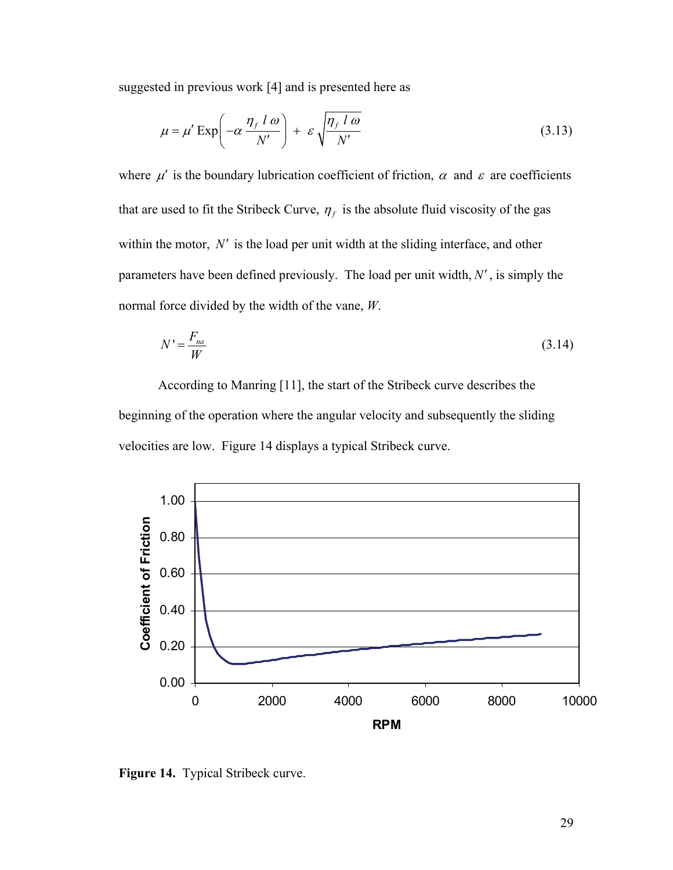suggested in previous work [4] and is presented here as

$$
\mu = \mu' \exp\left(-\alpha \frac{\eta_f l \omega}{N'}\right) + \varepsilon \sqrt{\frac{\eta_f l \omega}{N'}}
$$
\n(3.13)

where  $\mu'$  is the boundary lubrication coefficient of friction,  $\alpha$  and  $\varepsilon$  are coefficients that are used to fit the Stribeck Curve,  $\eta_f$  is the absolute fluid viscosity of the gas within the motor,  $N'$  is the load per unit width at the sliding interface, and other parameters have been defined previously. The load per unit width,  $N'$ , is simply the normal force divided by the width of the vane, *W*.

$$
N' = \frac{F_{na}}{W} \tag{3.14}
$$

 According to Manring [11], the start of the Stribeck curve describes the beginning of the operation where the angular velocity and subsequently the sliding velocities are low. Figure 14 displays a typical Stribeck curve.



**Figure 14.** Typical Stribeck curve.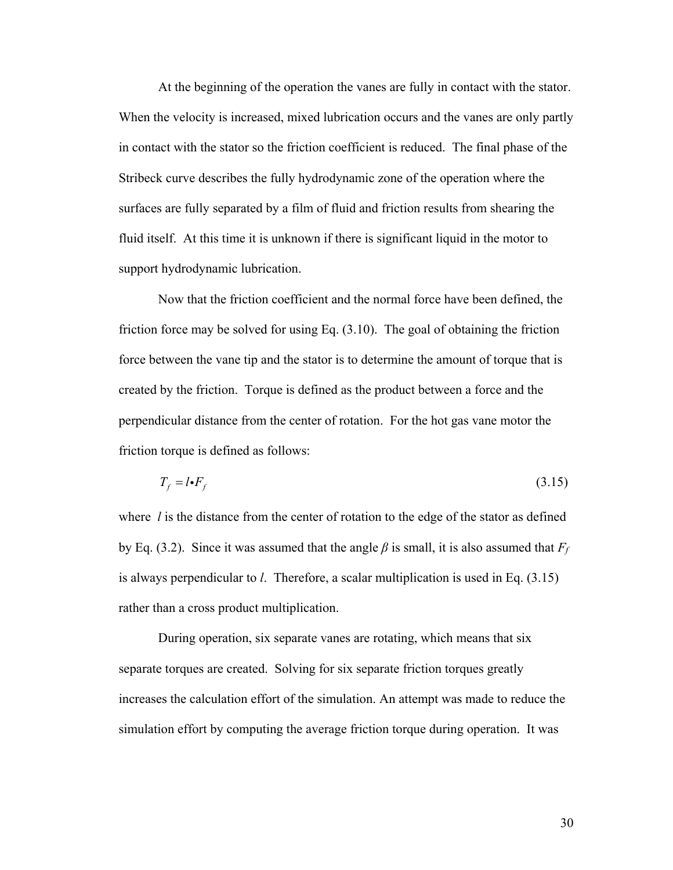At the beginning of the operation the vanes are fully in contact with the stator. When the velocity is increased, mixed lubrication occurs and the vanes are only partly in contact with the stator so the friction coefficient is reduced. The final phase of the Stribeck curve describes the fully hydrodynamic zone of the operation where the surfaces are fully separated by a film of fluid and friction results from shearing the fluid itself. At this time it is unknown if there is significant liquid in the motor to support hydrodynamic lubrication.

 Now that the friction coefficient and the normal force have been defined, the friction force may be solved for using Eq. (3.10). The goal of obtaining the friction force between the vane tip and the stator is to determine the amount of torque that is created by the friction. Torque is defined as the product between a force and the perpendicular distance from the center of rotation. For the hot gas vane motor the friction torque is defined as follows:

$$
T_f = l \cdot F_f \tag{3.15}
$$

where *l* is the distance from the center of rotation to the edge of the stator as defined by Eq. (3.2). Since it was assumed that the angle  $\beta$  is small, it is also assumed that  $F_f$ is always perpendicular to *l*. Therefore, a scalar multiplication is used in Eq. (3.15) rather than a cross product multiplication.

 During operation, six separate vanes are rotating, which means that six separate torques are created. Solving for six separate friction torques greatly increases the calculation effort of the simulation. An attempt was made to reduce the simulation effort by computing the average friction torque during operation. It was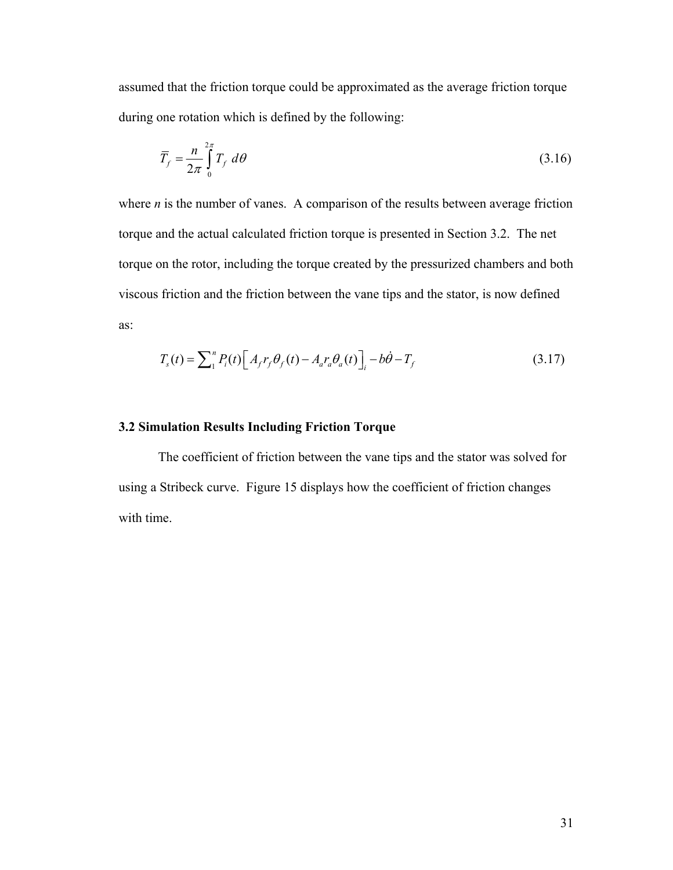assumed that the friction torque could be approximated as the average friction torque during one rotation which is defined by the following:

$$
\overline{T}_f = \frac{n}{2\pi} \int_0^{2\pi} T_f \, d\theta \tag{3.16}
$$

where *n* is the number of vanes. A comparison of the results between average friction torque and the actual calculated friction torque is presented in Section 3.2. The net torque on the rotor, including the torque created by the pressurized chambers and both viscous friction and the friction between the vane tips and the stator, is now defined as:

$$
T_s(t) = \sum_{i=1}^{n} P_i(t) \Big[ A_f r_f \theta_f(t) - A_a r_a \theta_a(t) \Big]_i - b\dot{\theta} - T_f
$$
 (3.17)

## **3.2 Simulation Results Including Friction Torque**

The coefficient of friction between the vane tips and the stator was solved for using a Stribeck curve. Figure 15 displays how the coefficient of friction changes with time.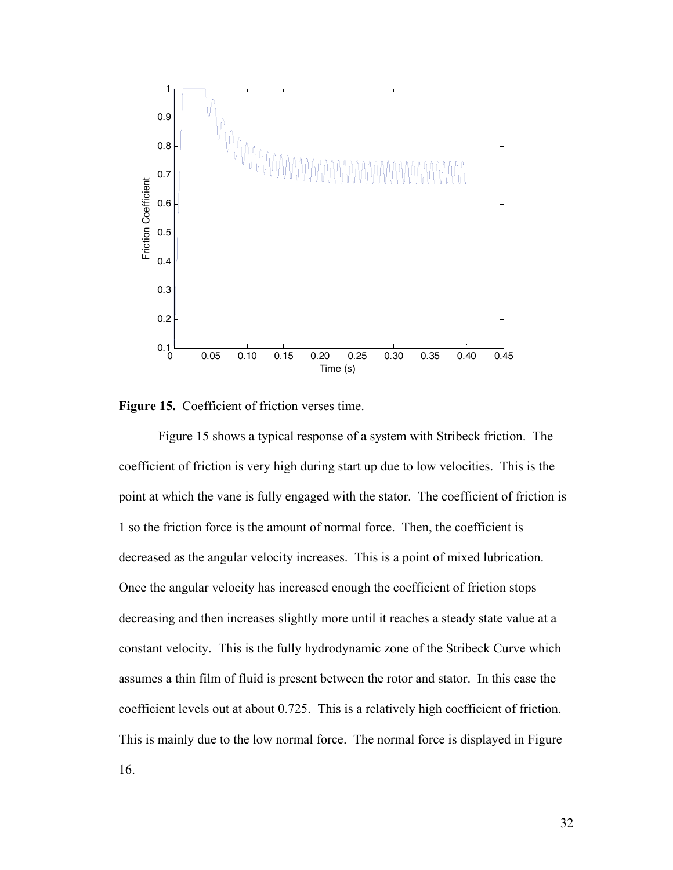

**Figure 15.** Coefficient of friction verses time.

Figure 15 shows a typical response of a system with Stribeck friction. The coefficient of friction is very high during start up due to low velocities. This is the point at which the vane is fully engaged with the stator. The coefficient of friction is 1 so the friction force is the amount of normal force. Then, the coefficient is decreased as the angular velocity increases. This is a point of mixed lubrication. Once the angular velocity has increased enough the coefficient of friction stops decreasing and then increases slightly more until it reaches a steady state value at a constant velocity. This is the fully hydrodynamic zone of the Stribeck Curve which assumes a thin film of fluid is present between the rotor and stator. In this case the coefficient levels out at about 0.725. This is a relatively high coefficient of friction. This is mainly due to the low normal force. The normal force is displayed in Figure 16.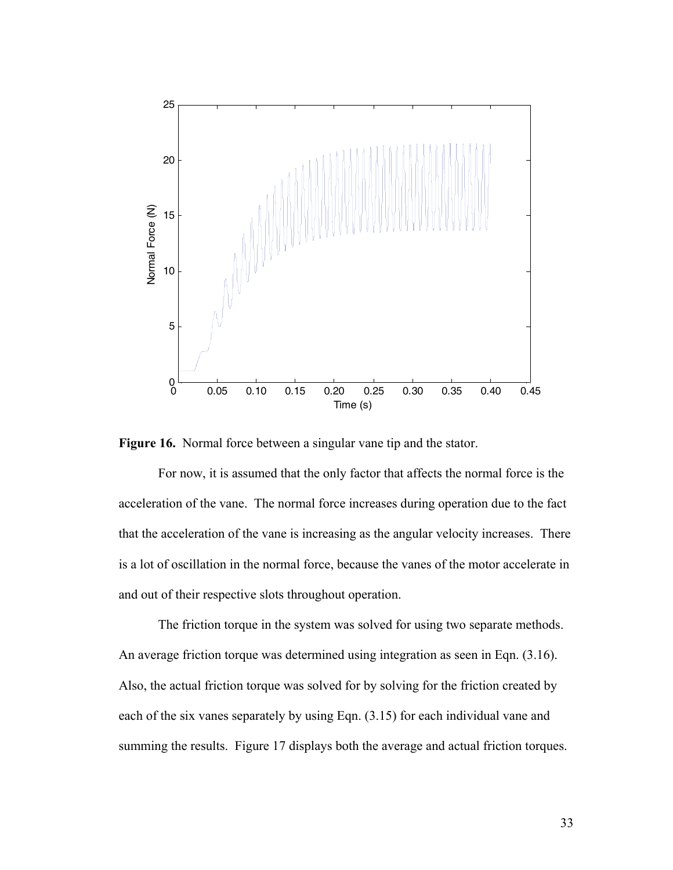

**Figure 16.** Normal force between a singular vane tip and the stator.

 For now, it is assumed that the only factor that affects the normal force is the acceleration of the vane. The normal force increases during operation due to the fact that the acceleration of the vane is increasing as the angular velocity increases. There is a lot of oscillation in the normal force, because the vanes of the motor accelerate in and out of their respective slots throughout operation.

 The friction torque in the system was solved for using two separate methods. An average friction torque was determined using integration as seen in Eqn. (3.16). Also, the actual friction torque was solved for by solving for the friction created by each of the six vanes separately by using Eqn. (3.15) for each individual vane and summing the results. Figure 17 displays both the average and actual friction torques.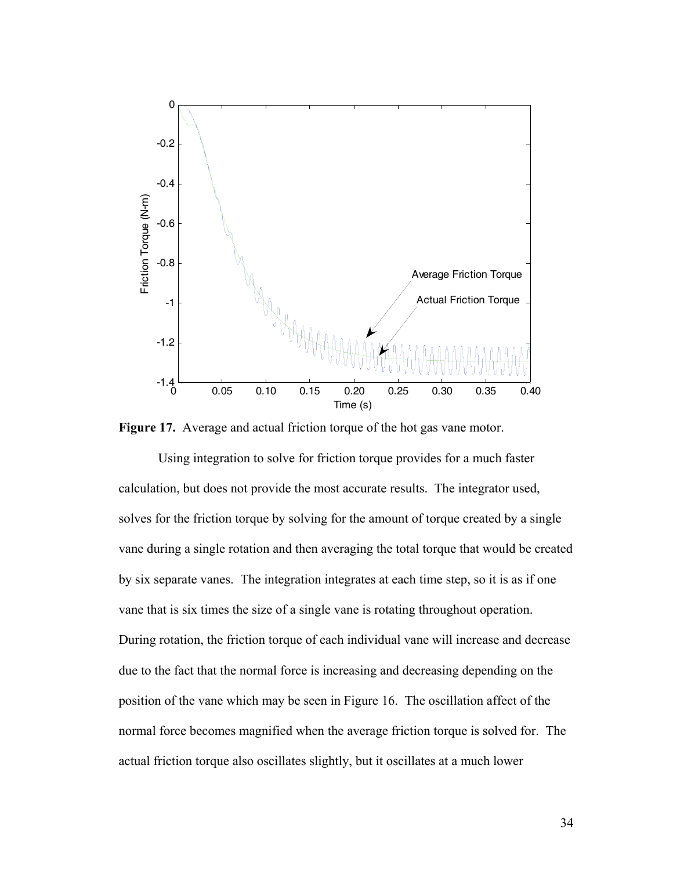

<span id="page-43-0"></span>**Figure 17.** Average and actual friction torque of the hot gas vane motor.

 Using integration to solve for friction torque provides for a much faster calculation, but does not provide the most accurate results. The integrator used, solves for the friction torque by solving for the amount of torque created by a single vane during a single rotation and then averaging the total torque that would be created by six separate vanes. The integration integrates at each time step, so it is as if one vane that is six times the size of a single vane is rotating throughout operation. During rotation, the friction torque of each individual vane will increase and decrease due to the fact that the normal force is increasing and decreasing depending on the position of the vane which may be seen in [Figure 16](#page-43-0). The oscillation affect of the normal force becomes magnified when the average friction torque is solved for. The actual friction torque also oscillates slightly, but it oscillates at a much lower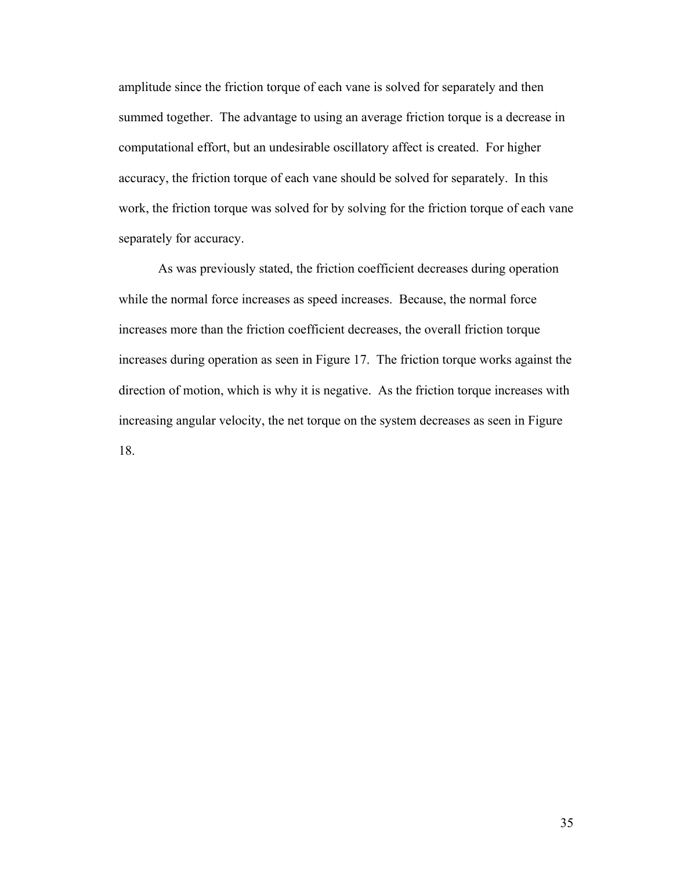amplitude since the friction torque of each vane is solved for separately and then summed together. The advantage to using an average friction torque is a decrease in computational effort, but an undesirable oscillatory affect is created. For higher accuracy, the friction torque of each vane should be solved for separately. In this work, the friction torque was solved for by solving for the friction torque of each vane separately for accuracy.

 As was previously stated, the friction coefficient decreases during operation while the normal force increases as speed increases. Because, the normal force increases more than the friction coefficient decreases, the overall friction torque increases during operation as seen in Figure 17. The friction torque works against the direction of motion, which is why it is negative. As the friction torque increases with increasing angular velocity, the net torque on the system decreases as seen in Figure 18.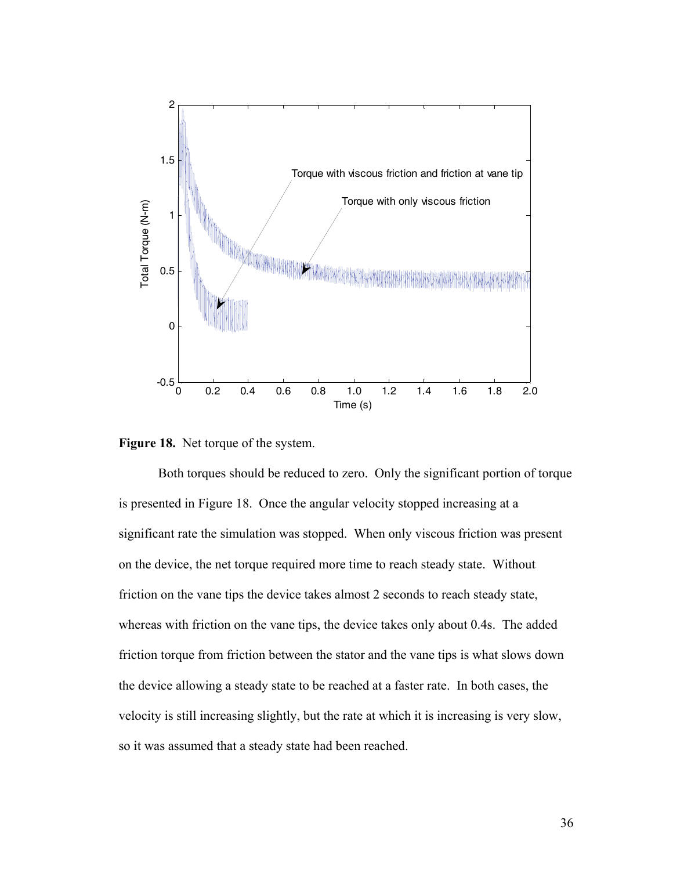

**Figure 18.** Net torque of the system.

 Both torques should be reduced to zero. Only the significant portion of torque is presented in Figure 18. Once the angular velocity stopped increasing at a significant rate the simulation was stopped. When only viscous friction was present on the device, the net torque required more time to reach steady state. Without friction on the vane tips the device takes almost 2 seconds to reach steady state, whereas with friction on the vane tips, the device takes only about 0.4s. The added friction torque from friction between the stator and the vane tips is what slows down the device allowing a steady state to be reached at a faster rate. In both cases, the velocity is still increasing slightly, but the rate at which it is increasing is very slow, so it was assumed that a steady state had been reached.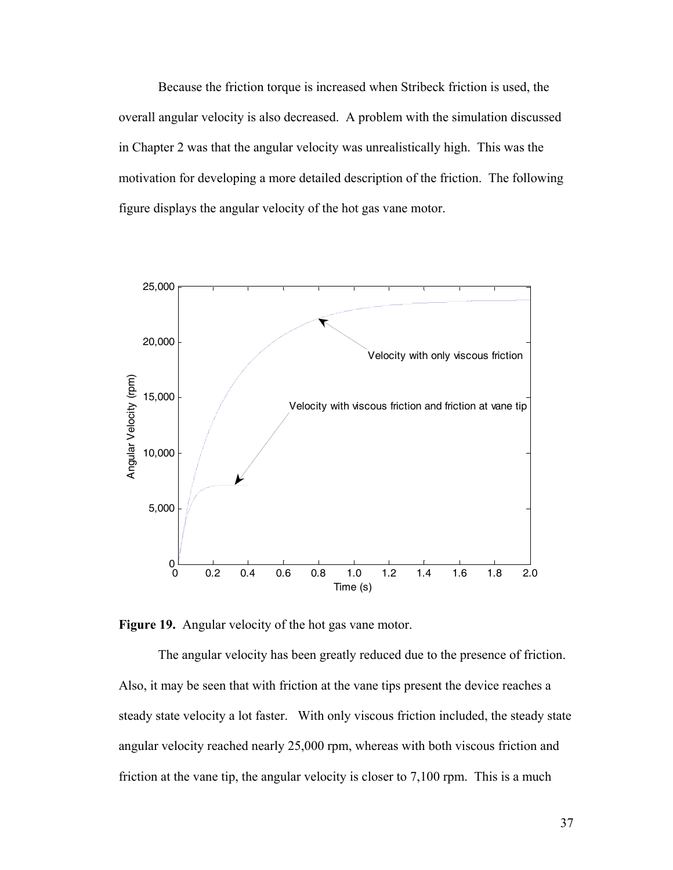Because the friction torque is increased when Stribeck friction is used, the overall angular velocity is also decreased. A problem with the simulation discussed in Chapter 2 was that the angular velocity was unrealistically high. This was the motivation for developing a more detailed description of the friction. The following figure displays the angular velocity of the hot gas vane motor.



**Figure 19.** Angular velocity of the hot gas vane motor.

 The angular velocity has been greatly reduced due to the presence of friction. Also, it may be seen that with friction at the vane tips present the device reaches a steady state velocity a lot faster. With only viscous friction included, the steady state angular velocity reached nearly 25,000 rpm, whereas with both viscous friction and friction at the vane tip, the angular velocity is closer to 7,100 rpm. This is a much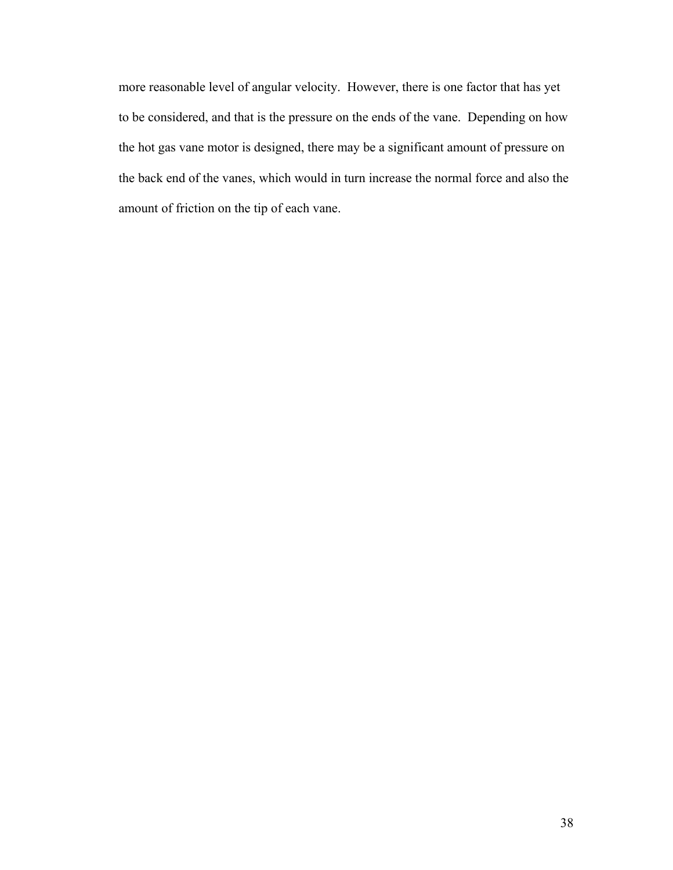more reasonable level of angular velocity. However, there is one factor that has yet to be considered, and that is the pressure on the ends of the vane. Depending on how the hot gas vane motor is designed, there may be a significant amount of pressure on the back end of the vanes, which would in turn increase the normal force and also the amount of friction on the tip of each vane.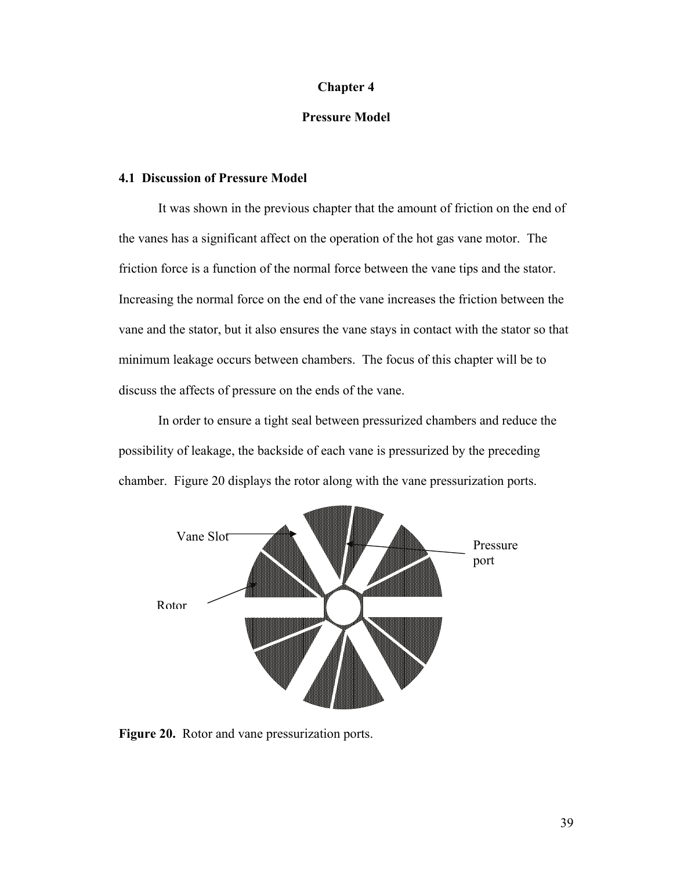#### **Chapter 4**

## **Pressure Model**

## **4.1 Discussion of Pressure Model**

 It was shown in the previous chapter that the amount of friction on the end of the vanes has a significant affect on the operation of the hot gas vane motor. The friction force is a function of the normal force between the vane tips and the stator. Increasing the normal force on the end of the vane increases the friction between the vane and the stator, but it also ensures the vane stays in contact with the stator so that minimum leakage occurs between chambers. The focus of this chapter will be to discuss the affects of pressure on the ends of the vane.

 In order to ensure a tight seal between pressurized chambers and reduce the possibility of leakage, the backside of each vane is pressurized by the preceding chamber. Figure 20 displays the rotor along with the vane pressurization ports.



**Figure 20.** Rotor and vane pressurization ports.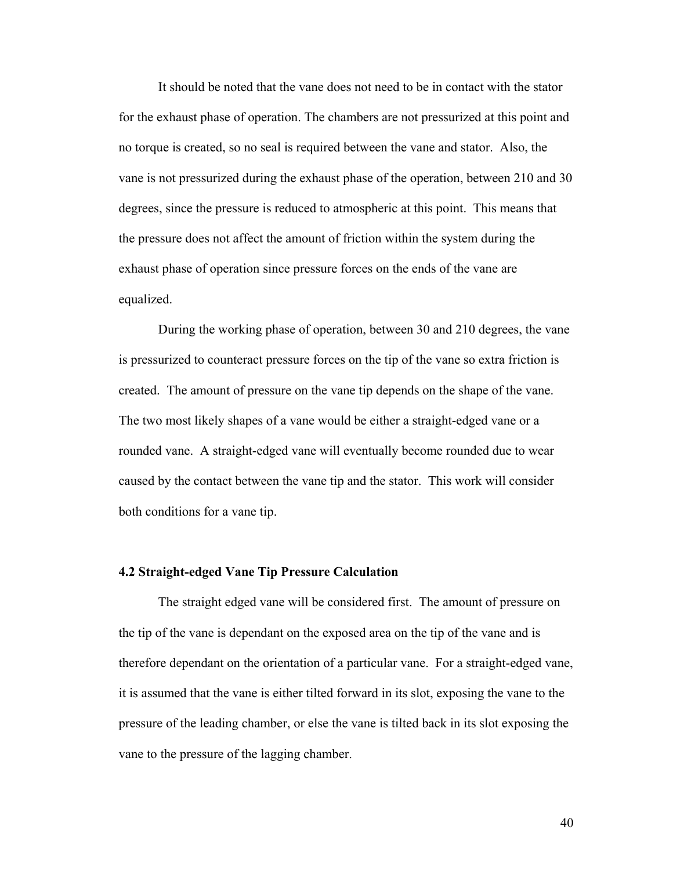It should be noted that the vane does not need to be in contact with the stator for the exhaust phase of operation. The chambers are not pressurized at this point and no torque is created, so no seal is required between the vane and stator. Also, the vane is not pressurized during the exhaust phase of the operation, between 210 and 30 degrees, since the pressure is reduced to atmospheric at this point. This means that the pressure does not affect the amount of friction within the system during the exhaust phase of operation since pressure forces on the ends of the vane are equalized.

 During the working phase of operation, between 30 and 210 degrees, the vane is pressurized to counteract pressure forces on the tip of the vane so extra friction is created. The amount of pressure on the vane tip depends on the shape of the vane. The two most likely shapes of a vane would be either a straight-edged vane or a rounded vane. A straight-edged vane will eventually become rounded due to wear caused by the contact between the vane tip and the stator. This work will consider both conditions for a vane tip.

## **4.2 Straight-edged Vane Tip Pressure Calculation**

The straight edged vane will be considered first. The amount of pressure on the tip of the vane is dependant on the exposed area on the tip of the vane and is therefore dependant on the orientation of a particular vane. For a straight-edged vane, it is assumed that the vane is either tilted forward in its slot, exposing the vane to the pressure of the leading chamber, or else the vane is tilted back in its slot exposing the vane to the pressure of the lagging chamber.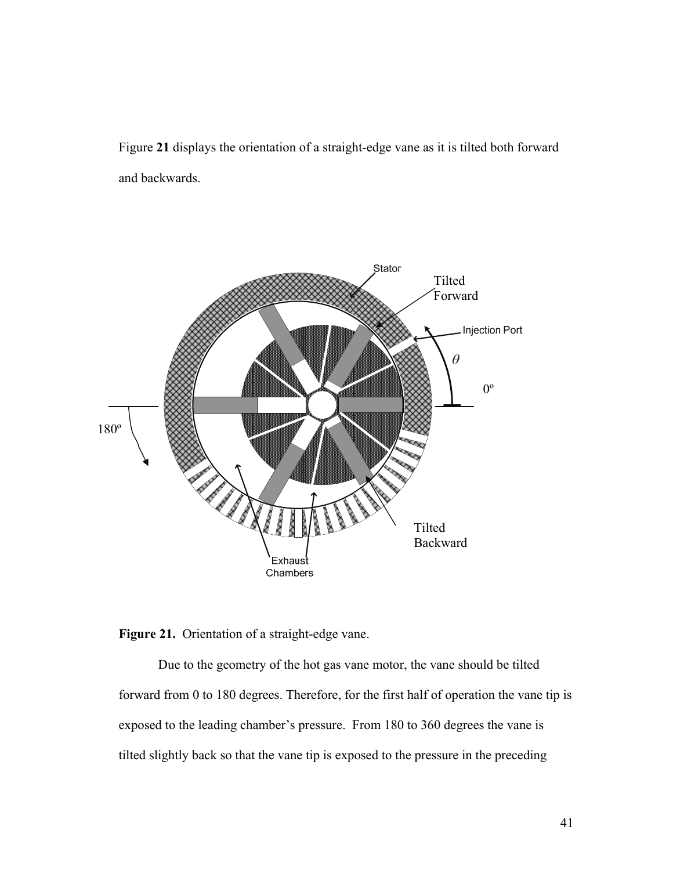Figure **21** displays the orientation of a straight-edge vane as it is tilted both forward and backwards.





 Due to the geometry of the hot gas vane motor, the vane should be tilted forward from 0 to 180 degrees. Therefore, for the first half of operation the vane tip is exposed to the leading chamber's pressure. From 180 to 360 degrees the vane is tilted slightly back so that the vane tip is exposed to the pressure in the preceding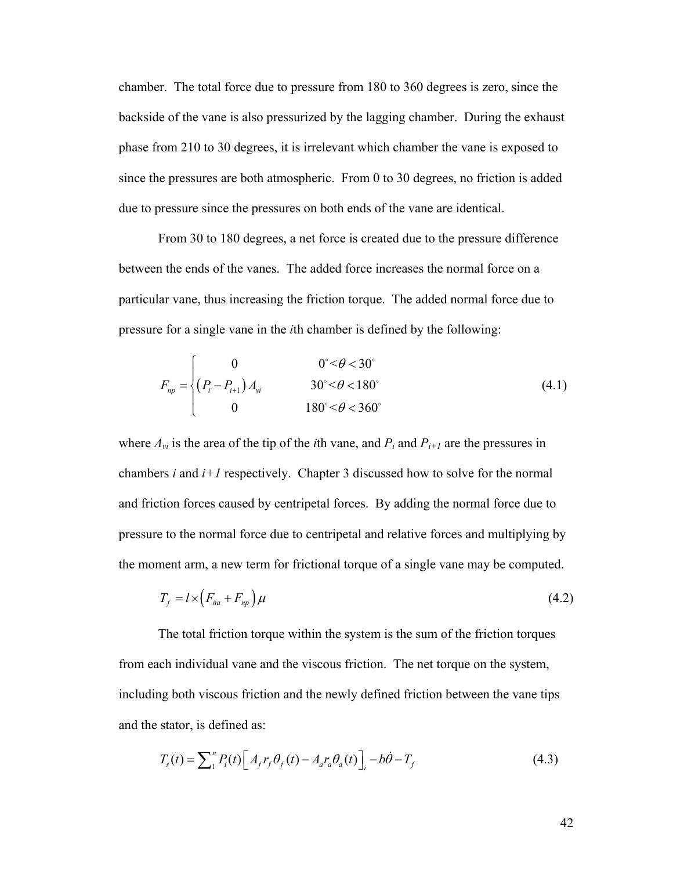chamber. The total force due to pressure from 180 to 360 degrees is zero, since the backside of the vane is also pressurized by the lagging chamber. During the exhaust phase from 210 to 30 degrees, it is irrelevant which chamber the vane is exposed to since the pressures are both atmospheric. From 0 to 30 degrees, no friction is added due to pressure since the pressures on both ends of the vane are identical.

 From 30 to 180 degrees, a net force is created due to the pressure difference between the ends of the vanes. The added force increases the normal force on a particular vane, thus increasing the friction torque. The added normal force due to pressure for a single vane in the *i*th chamber is defined by the following:

$$
F_{np} = \begin{cases} 0 & 0^{\circ} < \theta < 30^{\circ} \\ \left(P_i - P_{i+1}\right) A_{vi} & 30^{\circ} < \theta < 180^{\circ} \\ 0 & 180^{\circ} < \theta < 360^{\circ} \end{cases}
$$
(4.1)

where  $A_{vi}$  is the area of the tip of the *i*th vane, and  $P_i$  and  $P_{i+1}$  are the pressures in chambers  $i$  and  $i+1$  respectively. Chapter 3 discussed how to solve for the normal and friction forces caused by centripetal forces. By adding the normal force due to pressure to the normal force due to centripetal and relative forces and multiplying by the moment arm, a new term for frictional torque of a single vane may be computed.

$$
T_f = l \times \left( F_{na} + F_{np} \right) \mu \tag{4.2}
$$

 The total friction torque within the system is the sum of the friction torques from each individual vane and the viscous friction. The net torque on the system, including both viscous friction and the newly defined friction between the vane tips and the stator, is defined as:

$$
T_s(t) = \sum_{1}^{n} P_i(t) \Big[ A_f r_f \theta_f(t) - A_a r_a \theta_a(t) \Big]_i - b\dot{\theta} - T_f
$$
\n(4.3)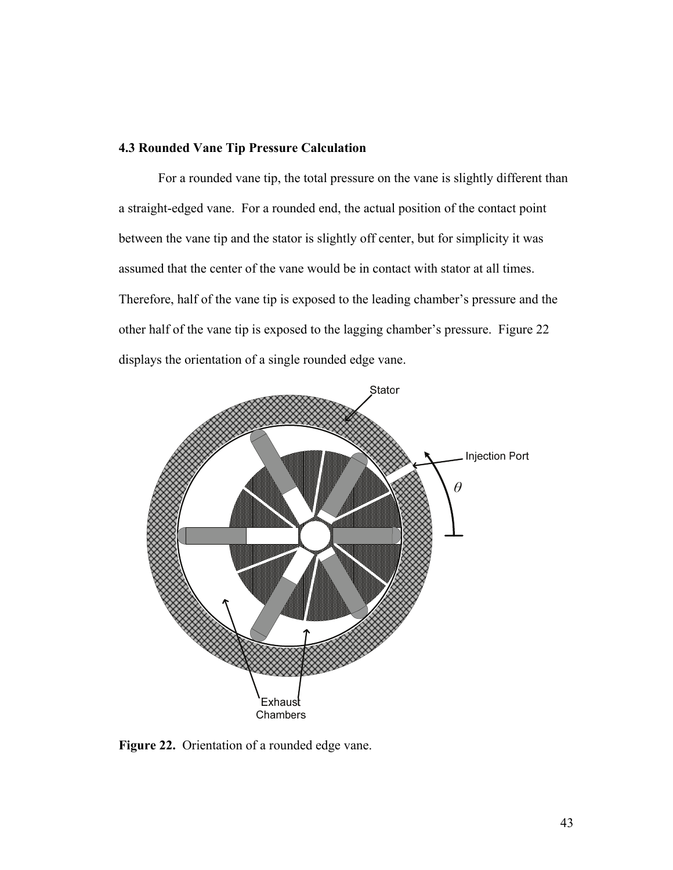## **4.3 Rounded Vane Tip Pressure Calculation**

 For a rounded vane tip, the total pressure on the vane is slightly different than a straight-edged vane. For a rounded end, the actual position of the contact point between the vane tip and the stator is slightly off center, but for simplicity it was assumed that the center of the vane would be in contact with stator at all times. Therefore, half of the vane tip is exposed to the leading chamber's pressure and the other half of the vane tip is exposed to the lagging chamber's pressure. Figure 22 displays the orientation of a single rounded edge vane.



**Figure 22.** Orientation of a rounded edge vane.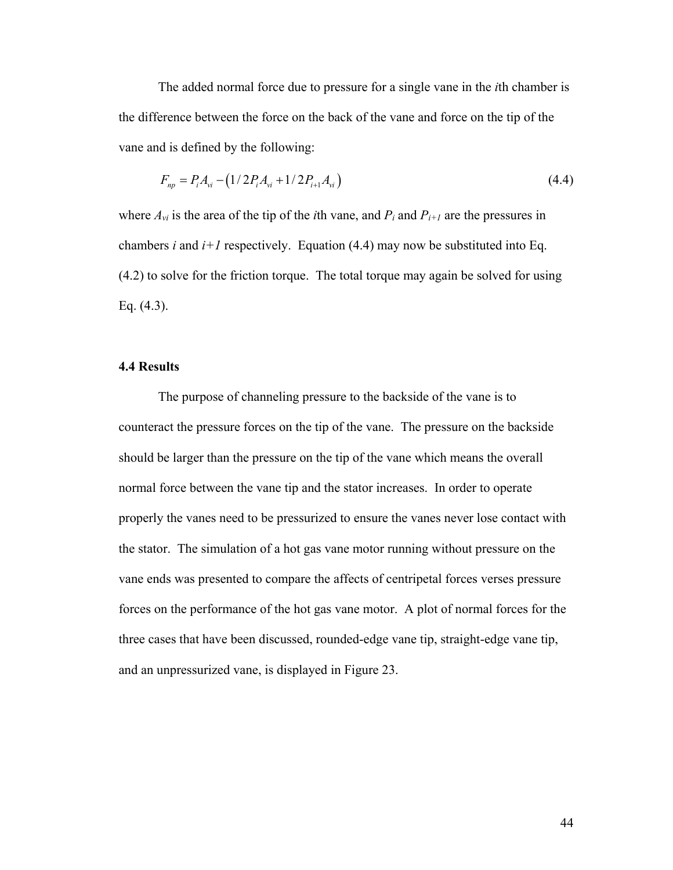The added normal force due to pressure for a single vane in the *i*th chamber is the difference between the force on the back of the vane and force on the tip of the vane and is defined by the following:

$$
F_{np} = P_i A_{vi} - (1/2P_i A_{vi} + 1/2P_{i+1} A_{vi})
$$
\n(4.4)

where  $A_{vi}$  is the area of the tip of the *i*th vane, and  $P_i$  and  $P_{i+1}$  are the pressures in chambers *i* and  $i+1$  respectively. Equation (4.4) may now be substituted into Eq. (4.2) to solve for the friction torque. The total torque may again be solved for using Eq. (4.3).

#### **4.4 Results**

 The purpose of channeling pressure to the backside of the vane is to counteract the pressure forces on the tip of the vane. The pressure on the backside should be larger than the pressure on the tip of the vane which means the overall normal force between the vane tip and the stator increases. In order to operate properly the vanes need to be pressurized to ensure the vanes never lose contact with the stator. The simulation of a hot gas vane motor running without pressure on the vane ends was presented to compare the affects of centripetal forces verses pressure forces on the performance of the hot gas vane motor. A plot of normal forces for the three cases that have been discussed, rounded-edge vane tip, straight-edge vane tip, and an unpressurized vane, is displayed in Figure 23.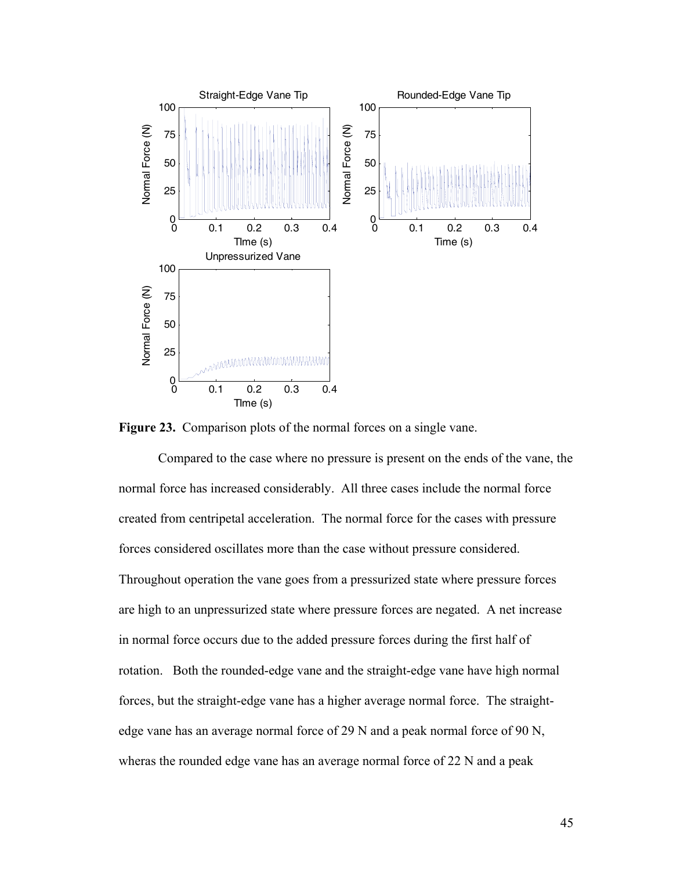

**Figure 23.** Comparison plots of the normal forces on a single vane.

 Compared to the case where no pressure is present on the ends of the vane, the normal force has increased considerably. All three cases include the normal force created from centripetal acceleration. The normal force for the cases with pressure forces considered oscillates more than the case without pressure considered. Throughout operation the vane goes from a pressurized state where pressure forces are high to an unpressurized state where pressure forces are negated. A net increase in normal force occurs due to the added pressure forces during the first half of rotation. Both the rounded-edge vane and the straight-edge vane have high normal forces, but the straight-edge vane has a higher average normal force. The straightedge vane has an average normal force of 29 N and a peak normal force of 90 N, wheras the rounded edge vane has an average normal force of 22 N and a peak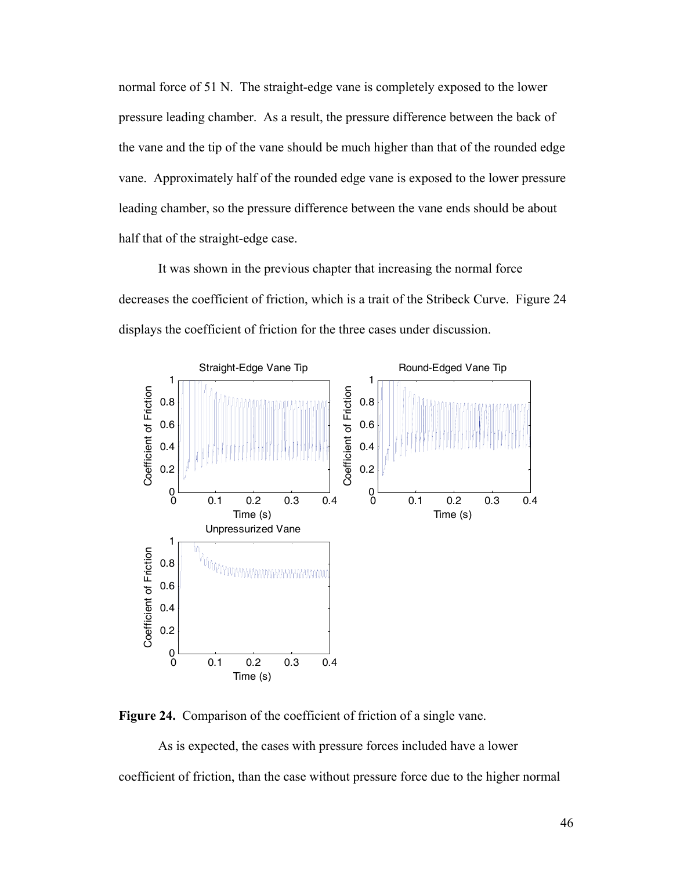normal force of 51 N. The straight-edge vane is completely exposed to the lower pressure leading chamber. As a result, the pressure difference between the back of the vane and the tip of the vane should be much higher than that of the rounded edge vane. Approximately half of the rounded edge vane is exposed to the lower pressure leading chamber, so the pressure difference between the vane ends should be about half that of the straight-edge case.

 It was shown in the previous chapter that increasing the normal force decreases the coefficient of friction, which is a trait of the Stribeck Curve. Figure 24 displays the coefficient of friction for the three cases under discussion.



**Figure 24.** Comparison of the coefficient of friction of a single vane.

 As is expected, the cases with pressure forces included have a lower coefficient of friction, than the case without pressure force due to the higher normal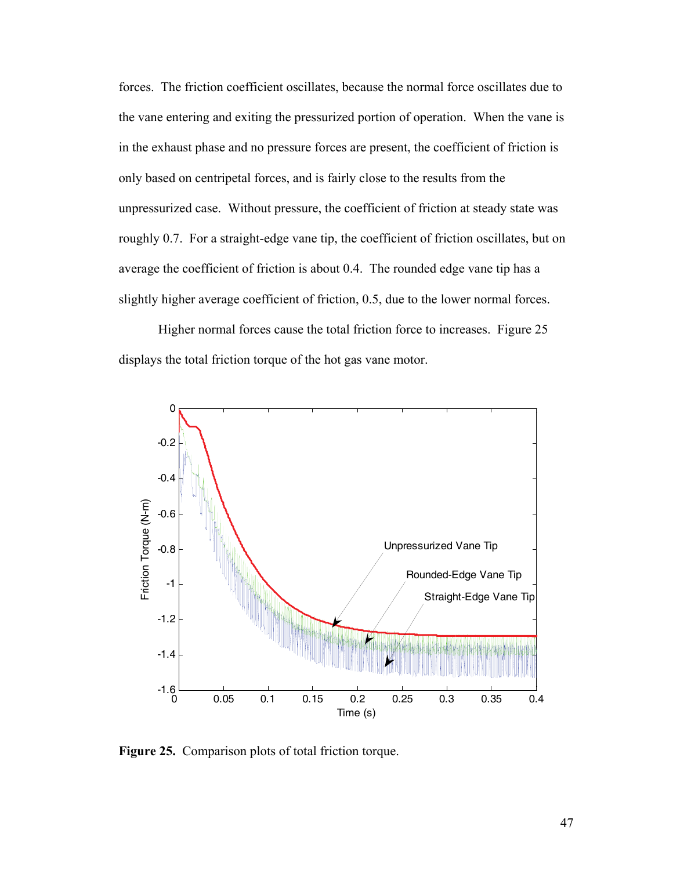forces. The friction coefficient oscillates, because the normal force oscillates due to the vane entering and exiting the pressurized portion of operation. When the vane is in the exhaust phase and no pressure forces are present, the coefficient of friction is only based on centripetal forces, and is fairly close to the results from the unpressurized case. Without pressure, the coefficient of friction at steady state was roughly 0.7. For a straight-edge vane tip, the coefficient of friction oscillates, but on average the coefficient of friction is about 0.4. The rounded edge vane tip has a slightly higher average coefficient of friction, 0.5, due to the lower normal forces.

Higher normal forces cause the total friction force to increases. Figure 25 displays the total friction torque of the hot gas vane motor.



**Figure 25.** Comparison plots of total friction torque.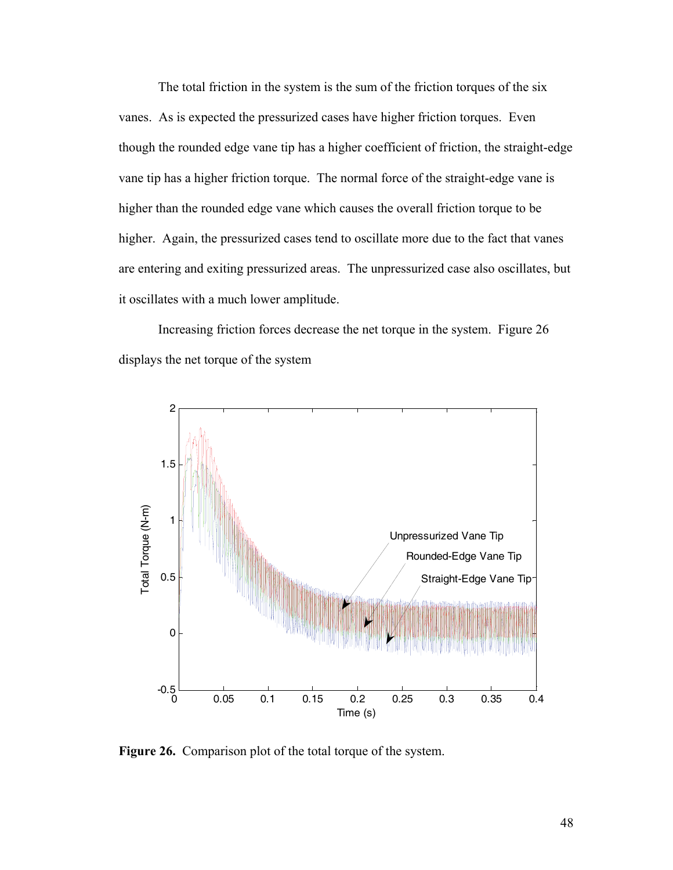The total friction in the system is the sum of the friction torques of the six vanes. As is expected the pressurized cases have higher friction torques. Even though the rounded edge vane tip has a higher coefficient of friction, the straight-edge vane tip has a higher friction torque. The normal force of the straight-edge vane is higher than the rounded edge vane which causes the overall friction torque to be higher. Again, the pressurized cases tend to oscillate more due to the fact that vanes are entering and exiting pressurized areas. The unpressurized case also oscillates, but it oscillates with a much lower amplitude.

Increasing friction forces decrease the net torque in the system. Figure 26 displays the net torque of the system



**Figure 26.** Comparison plot of the total torque of the system.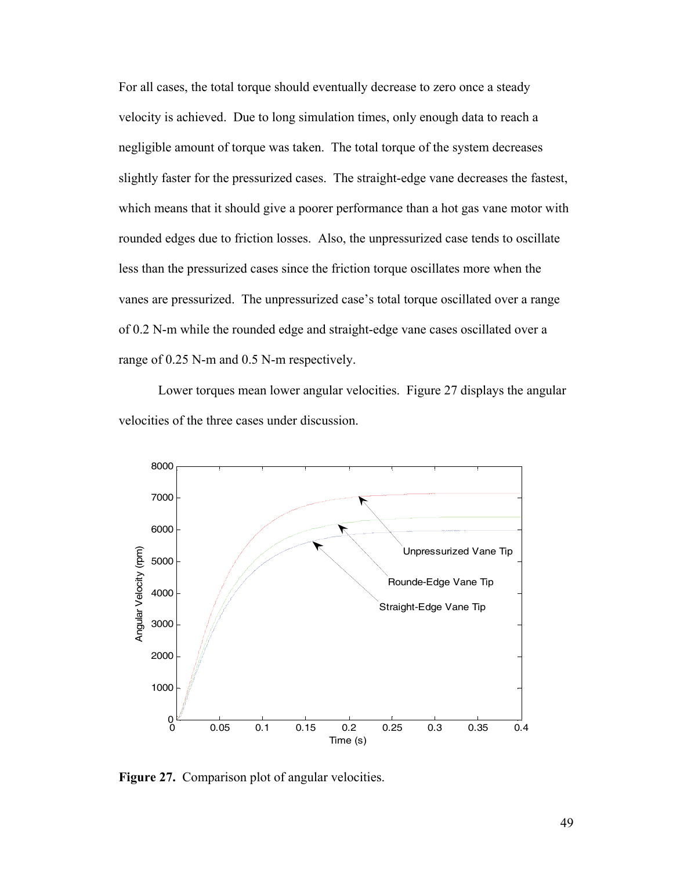For all cases, the total torque should eventually decrease to zero once a steady velocity is achieved. Due to long simulation times, only enough data to reach a negligible amount of torque was taken. The total torque of the system decreases slightly faster for the pressurized cases. The straight-edge vane decreases the fastest, which means that it should give a poorer performance than a hot gas vane motor with rounded edges due to friction losses. Also, the unpressurized case tends to oscillate less than the pressurized cases since the friction torque oscillates more when the vanes are pressurized. The unpressurized case's total torque oscillated over a range of 0.2 N-m while the rounded edge and straight-edge vane cases oscillated over a range of 0.25 N-m and 0.5 N-m respectively.

 Lower torques mean lower angular velocities. Figure 27 displays the angular velocities of the three cases under discussion.



**Figure 27.** Comparison plot of angular velocities.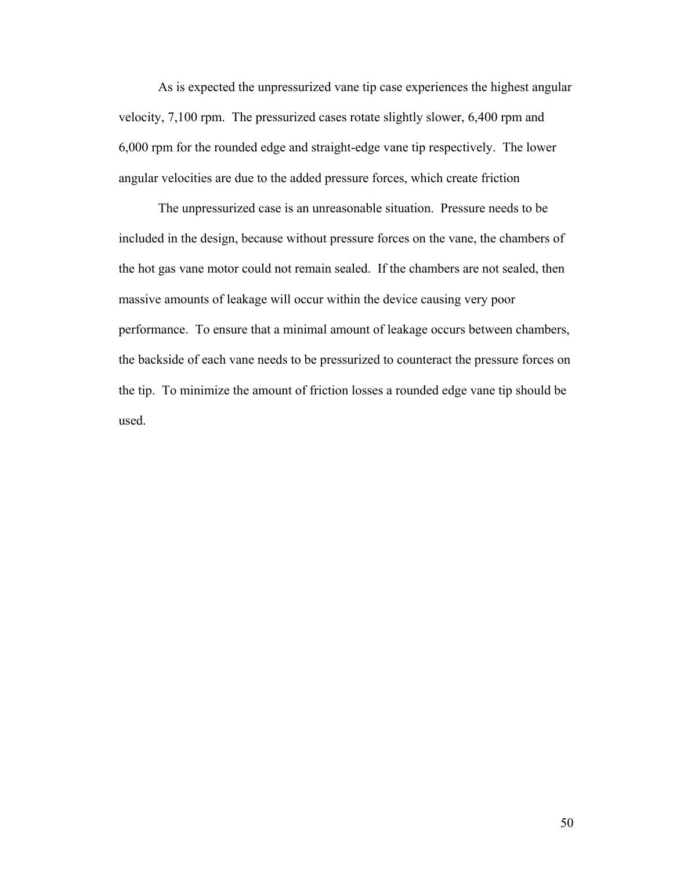As is expected the unpressurized vane tip case experiences the highest angular velocity, 7,100 rpm. The pressurized cases rotate slightly slower, 6,400 rpm and 6,000 rpm for the rounded edge and straight-edge vane tip respectively. The lower angular velocities are due to the added pressure forces, which create friction

 The unpressurized case is an unreasonable situation. Pressure needs to be included in the design, because without pressure forces on the vane, the chambers of the hot gas vane motor could not remain sealed. If the chambers are not sealed, then massive amounts of leakage will occur within the device causing very poor performance. To ensure that a minimal amount of leakage occurs between chambers, the backside of each vane needs to be pressurized to counteract the pressure forces on the tip. To minimize the amount of friction losses a rounded edge vane tip should be used.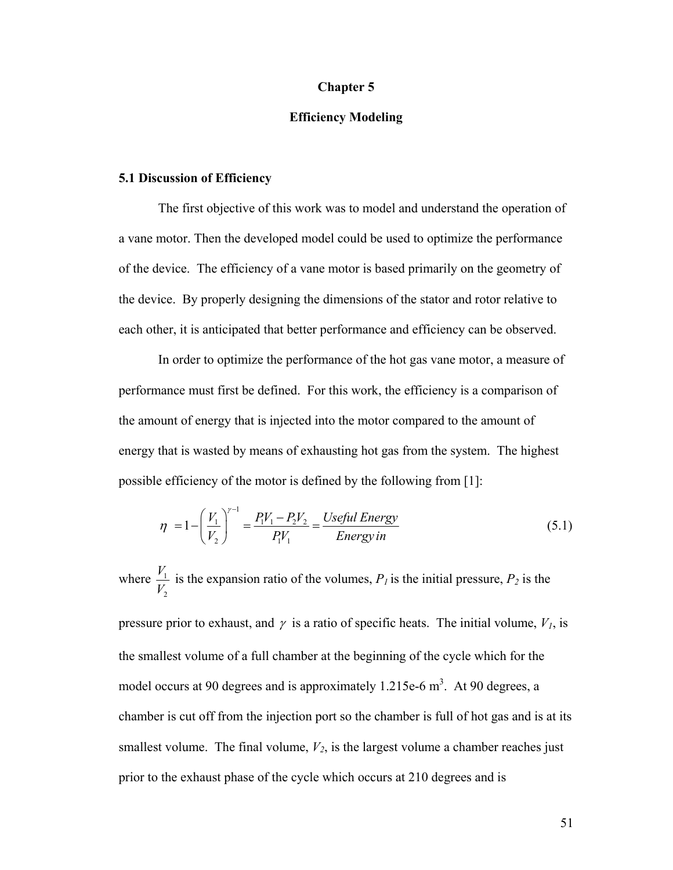#### **Chapter 5**

## **Efficiency Modeling**

#### **5.1 Discussion of Efficiency**

The first objective of this work was to model and understand the operation of a vane motor. Then the developed model could be used to optimize the performance of the device. The efficiency of a vane motor is based primarily on the geometry of the device. By properly designing the dimensions of the stator and rotor relative to each other, it is anticipated that better performance and efficiency can be observed.

 In order to optimize the performance of the hot gas vane motor, a measure of performance must first be defined. For this work, the efficiency is a comparison of the amount of energy that is injected into the motor compared to the amount of energy that is wasted by means of exhausting hot gas from the system. The highest possible efficiency of the motor is defined by the following from [\[1](#page-60-0)]:

$$
\eta = 1 - \left(\frac{V_1}{V_2}\right)^{\gamma - 1} = \frac{P_1 V_1 - P_2 V_2}{P_1 V_1} = \frac{Useful Energy}{Energy in}
$$
\n(5.1)

<span id="page-60-0"></span>1 2 *V V* where  $\frac{1}{K}$  is the expansion ratio of the volumes,  $P_l$  is the initial pressure,  $P_2$  is the

pressure prior to exhaust, and  $\gamma$  is a ratio of specific heats. The initial volume,  $V<sub>1</sub>$ , is the smallest volume of a full chamber at the beginning of the cycle which for the model occurs at 90 degrees and is approximately 1.215e-6  $m<sup>3</sup>$ . At 90 degrees, a chamber is cut off from the injection port so the chamber is full of hot gas and is at its smallest volume. The final volume,  $V_2$ , is the largest volume a chamber reaches just prior to the exhaust phase of the cycle which occurs at 210 degrees and is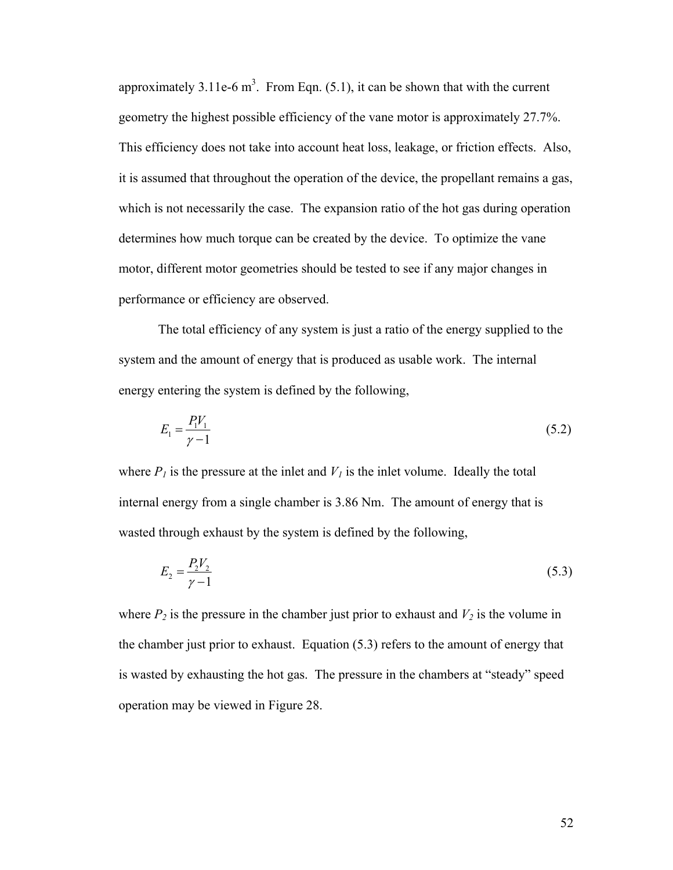approximately 3.11e-6  $m^3$ . From Eqn. (5.1), it can be shown that with the current geometry the highest possible efficiency of the vane motor is approximately 27.7%. This efficiency does not take into account heat loss, leakage, or friction effects. Also, it is assumed that throughout the operation of the device, the propellant remains a gas, which is not necessarily the case. The expansion ratio of the hot gas during operation determines how much torque can be created by the device. To optimize the vane motor, different motor geometries should be tested to see if any major changes in performance or efficiency are observed.

 The total efficiency of any system is just a ratio of the energy supplied to the system and the amount of energy that is produced as usable work. The internal energy entering the system is defined by the following,

$$
E_1 = \frac{P_1 V_1}{\gamma - 1} \tag{5.2}
$$

where  $P_l$  is the pressure at the inlet and  $V_l$  is the inlet volume. Ideally the total internal energy from a single chamber is 3.86 Nm. The amount of energy that is wasted through exhaust by the system is defined by the following,

$$
E_2 = \frac{P_2 V_2}{\gamma - 1} \tag{5.3}
$$

where  $P_2$  is the pressure in the chamber just prior to exhaust and  $V_2$  is the volume in the chamber just prior to exhaust. Equation (5.3) refers to the amount of energy that is wasted by exhausting the hot gas. The pressure in the chambers at "steady" speed operation may be viewed in Figure 28.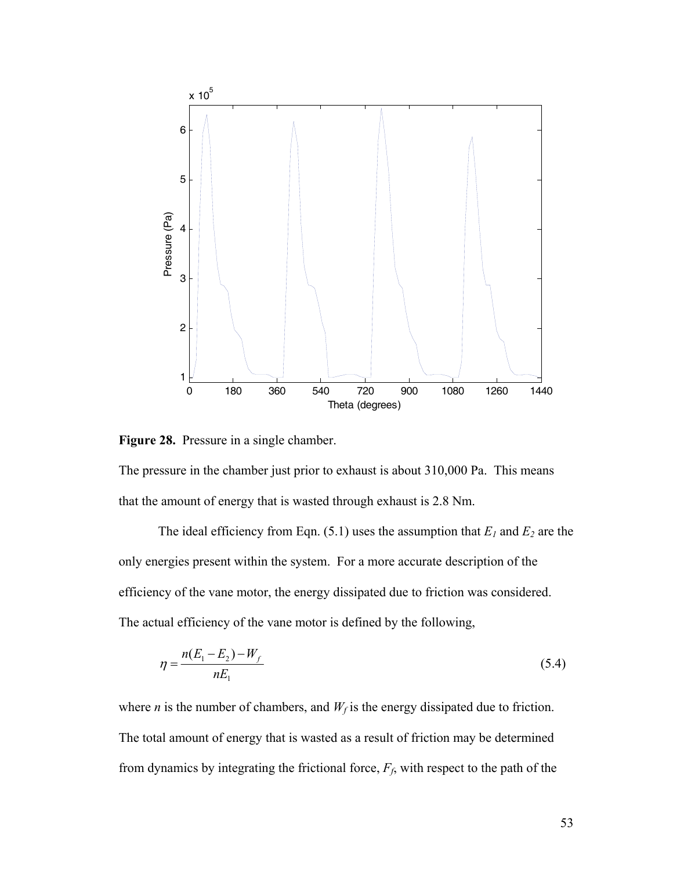

**Figure 28.** Pressure in a single chamber.

The pressure in the chamber just prior to exhaust is about 310,000 Pa. This means that the amount of energy that is wasted through exhaust is 2.8 Nm.

The ideal efficiency from Eqn.  $(5.1)$  uses the assumption that  $E_1$  and  $E_2$  are the only energies present within the system. For a more accurate description of the efficiency of the vane motor, the energy dissipated due to friction was considered. The actual efficiency of the vane motor is defined by the following,

$$
\eta = \frac{n(E_1 - E_2) - W_f}{nE_1} \tag{5.4}
$$

<span id="page-62-0"></span>where *n* is the number of chambers, and  $W_f$  is the energy dissipated due to friction. The total amount of energy that is wasted as a result of friction may be determined from dynamics by integrating the frictional force,  $F_f$ , with respect to the path of the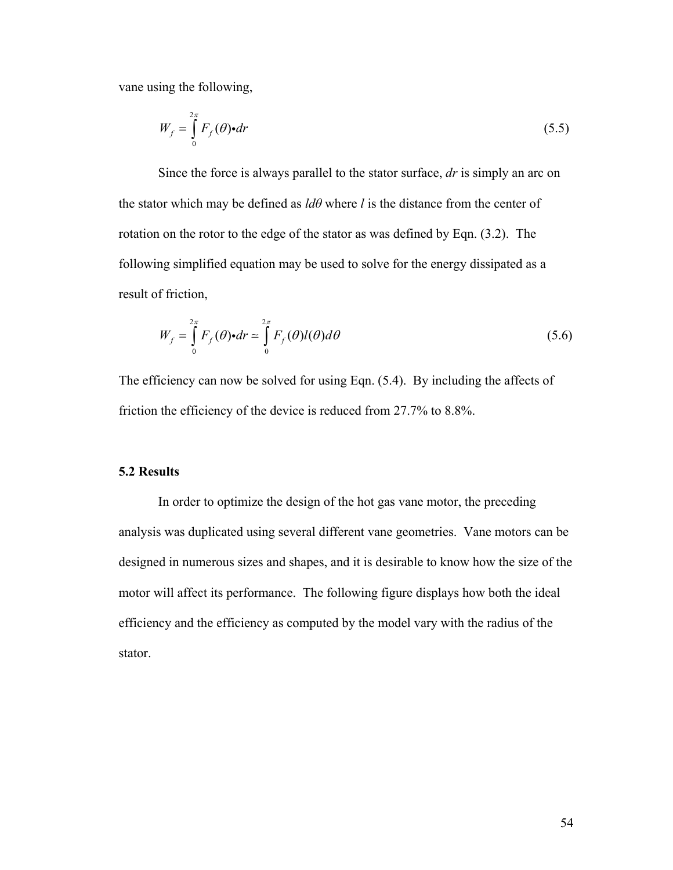vane using the following,

$$
W_f = \int_0^{2\pi} F_f(\theta) \cdot dr \tag{5.5}
$$

 Since the force is always parallel to the stator surface, *dr* is simply an arc on the stator which may be defined as  $\ell d\theta$  where  $\ell$  is the distance from the center of rotation on the rotor to the edge of the stator as was defined by Eqn. [\(3.2\)](#page-62-0). The following simplified equation may be used to solve for the energy dissipated as a result of friction,

$$
W_f = \int_0^{2\pi} F_f(\theta) \cdot dr \approx \int_0^{2\pi} F_f(\theta) l(\theta) d\theta
$$
 (5.6)

The efficiency can now be solved for using Eqn. (5.4). By including the affects of friction the efficiency of the device is reduced from 27.7% to 8.8%.

## **5.2 Results**

 In order to optimize the design of the hot gas vane motor, the preceding analysis was duplicated using several different vane geometries. Vane motors can be designed in numerous sizes and shapes, and it is desirable to know how the size of the motor will affect its performance. The following figure displays how both the ideal efficiency and the efficiency as computed by the model vary with the radius of the stator.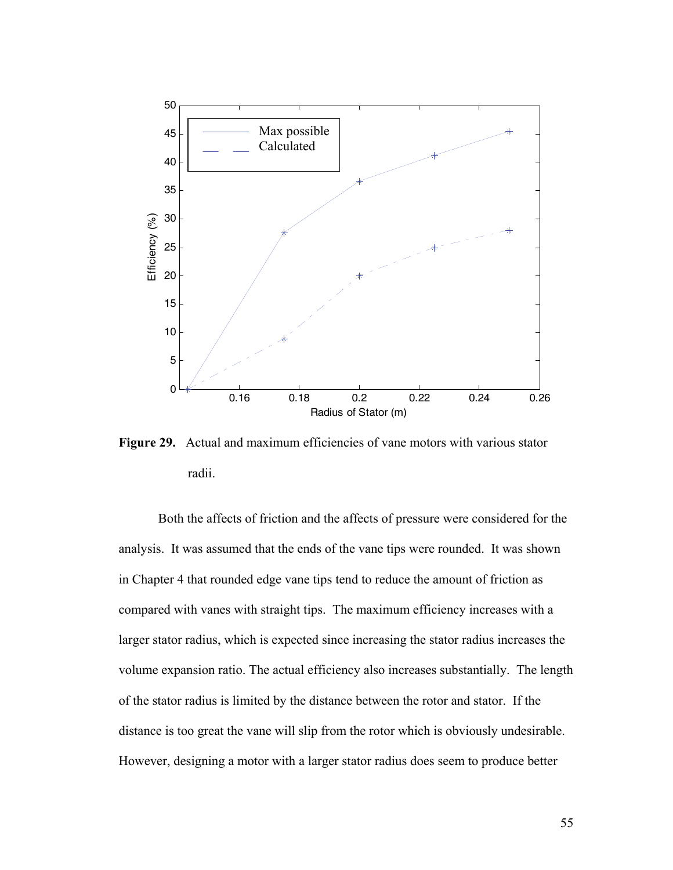

**Figure 29.** Actual and maximum efficiencies of vane motors with various stator radii.

 Both the affects of friction and the affects of pressure were considered for the analysis. It was assumed that the ends of the vane tips were rounded. It was shown in Chapter 4 that rounded edge vane tips tend to reduce the amount of friction as compared with vanes with straight tips. The maximum efficiency increases with a larger stator radius, which is expected since increasing the stator radius increases the volume expansion ratio. The actual efficiency also increases substantially. The length of the stator radius is limited by the distance between the rotor and stator. If the distance is too great the vane will slip from the rotor which is obviously undesirable. However, designing a motor with a larger stator radius does seem to produce better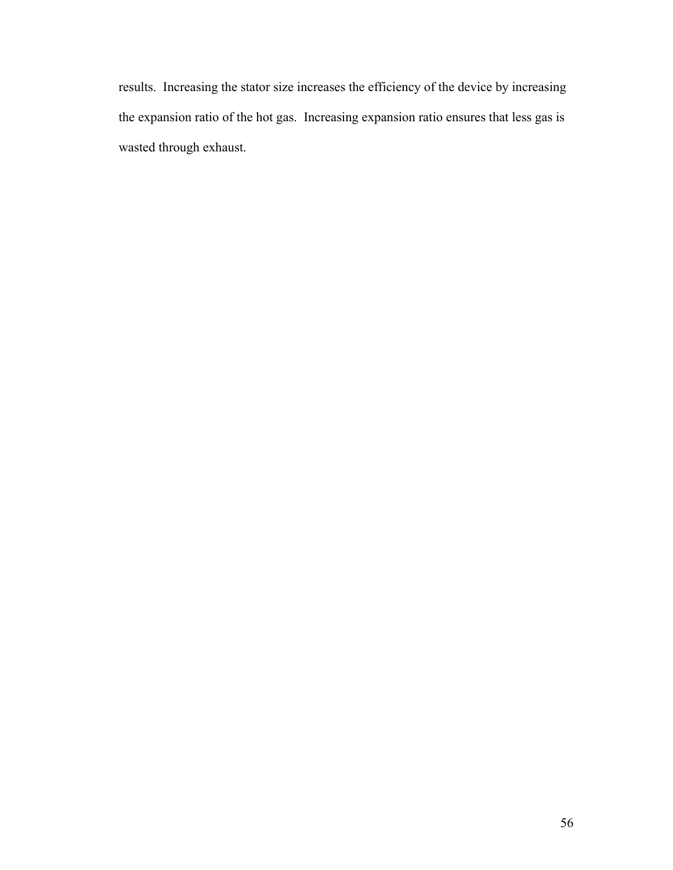results. Increasing the stator size increases the efficiency of the device by increasing the expansion ratio of the hot gas. Increasing expansion ratio ensures that less gas is wasted through exhaust.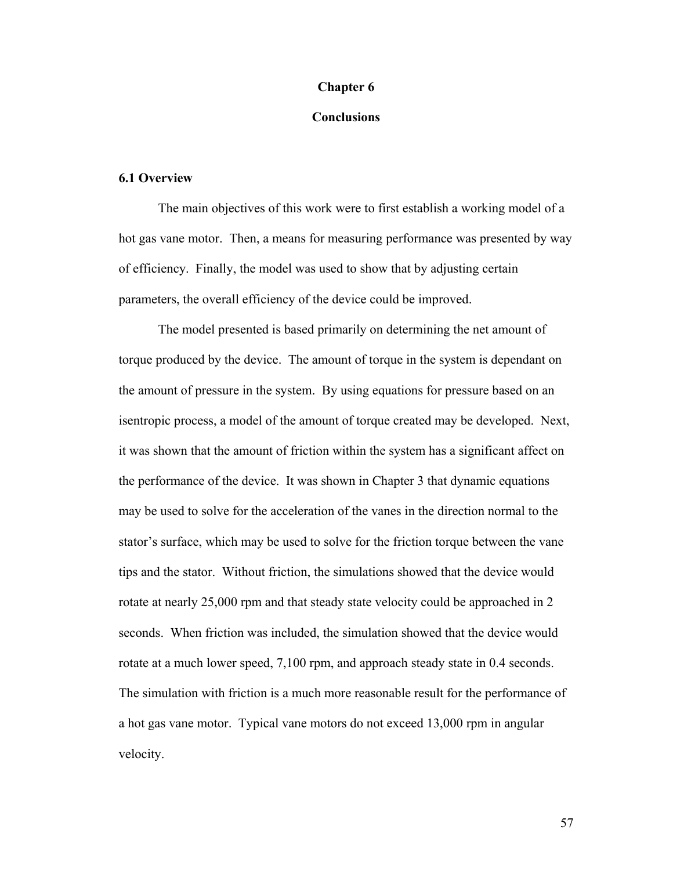#### **Chapter 6**

## **Conclusions**

#### **6.1 Overview**

 The main objectives of this work were to first establish a working model of a hot gas vane motor. Then, a means for measuring performance was presented by way of efficiency. Finally, the model was used to show that by adjusting certain parameters, the overall efficiency of the device could be improved.

 The model presented is based primarily on determining the net amount of torque produced by the device. The amount of torque in the system is dependant on the amount of pressure in the system. By using equations for pressure based on an isentropic process, a model of the amount of torque created may be developed. Next, it was shown that the amount of friction within the system has a significant affect on the performance of the device. It was shown in Chapter 3 that dynamic equations may be used to solve for the acceleration of the vanes in the direction normal to the stator's surface, which may be used to solve for the friction torque between the vane tips and the stator. Without friction, the simulations showed that the device would rotate at nearly 25,000 rpm and that steady state velocity could be approached in 2 seconds. When friction was included, the simulation showed that the device would rotate at a much lower speed, 7,100 rpm, and approach steady state in 0.4 seconds. The simulation with friction is a much more reasonable result for the performance of a hot gas vane motor. Typical vane motors do not exceed 13,000 rpm in angular velocity.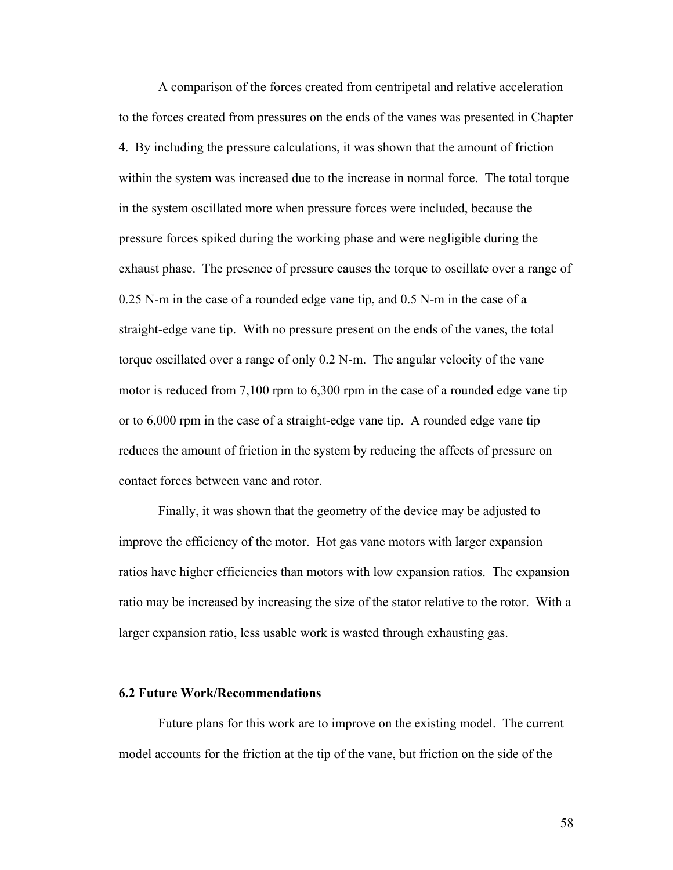A comparison of the forces created from centripetal and relative acceleration to the forces created from pressures on the ends of the vanes was presented in Chapter 4. By including the pressure calculations, it was shown that the amount of friction within the system was increased due to the increase in normal force. The total torque in the system oscillated more when pressure forces were included, because the pressure forces spiked during the working phase and were negligible during the exhaust phase. The presence of pressure causes the torque to oscillate over a range of 0.25 N-m in the case of a rounded edge vane tip, and 0.5 N-m in the case of a straight-edge vane tip. With no pressure present on the ends of the vanes, the total torque oscillated over a range of only 0.2 N-m. The angular velocity of the vane motor is reduced from 7,100 rpm to 6,300 rpm in the case of a rounded edge vane tip or to 6,000 rpm in the case of a straight-edge vane tip. A rounded edge vane tip reduces the amount of friction in the system by reducing the affects of pressure on contact forces between vane and rotor.

 Finally, it was shown that the geometry of the device may be adjusted to improve the efficiency of the motor. Hot gas vane motors with larger expansion ratios have higher efficiencies than motors with low expansion ratios. The expansion ratio may be increased by increasing the size of the stator relative to the rotor. With a larger expansion ratio, less usable work is wasted through exhausting gas.

#### **6.2 Future Work/Recommendations**

Future plans for this work are to improve on the existing model. The current model accounts for the friction at the tip of the vane, but friction on the side of the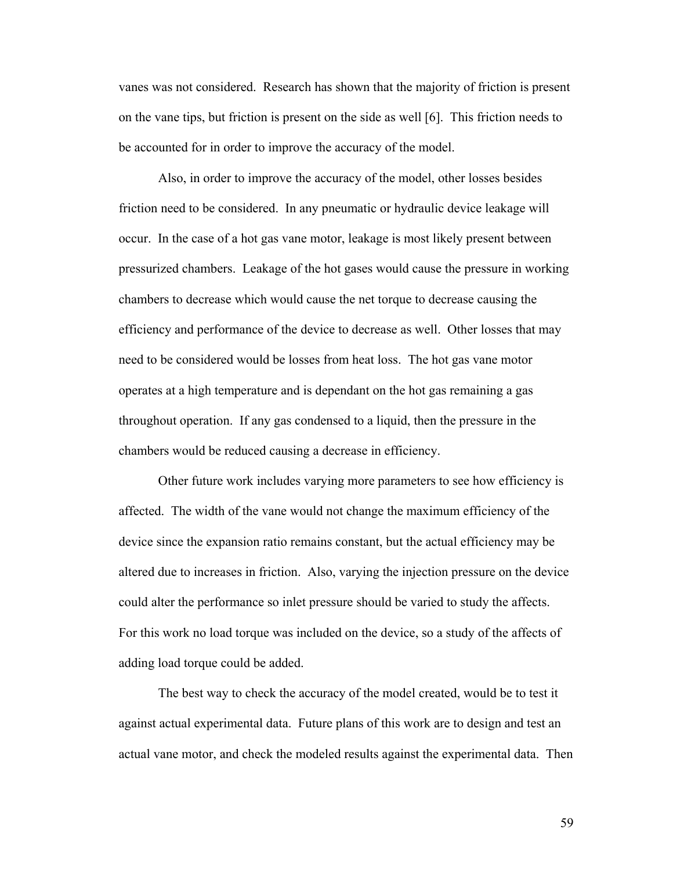vanes was not considered. Research has shown that the majority of friction is present on the vane tips, but friction is present on the side as well [6]. This friction needs to be accounted for in order to improve the accuracy of the model.

 Also, in order to improve the accuracy of the model, other losses besides friction need to be considered. In any pneumatic or hydraulic device leakage will occur. In the case of a hot gas vane motor, leakage is most likely present between pressurized chambers. Leakage of the hot gases would cause the pressure in working chambers to decrease which would cause the net torque to decrease causing the efficiency and performance of the device to decrease as well. Other losses that may need to be considered would be losses from heat loss. The hot gas vane motor operates at a high temperature and is dependant on the hot gas remaining a gas throughout operation. If any gas condensed to a liquid, then the pressure in the chambers would be reduced causing a decrease in efficiency.

Other future work includes varying more parameters to see how efficiency is affected. The width of the vane would not change the maximum efficiency of the device since the expansion ratio remains constant, but the actual efficiency may be altered due to increases in friction. Also, varying the injection pressure on the device could alter the performance so inlet pressure should be varied to study the affects. For this work no load torque was included on the device, so a study of the affects of adding load torque could be added.

The best way to check the accuracy of the model created, would be to test it against actual experimental data. Future plans of this work are to design and test an actual vane motor, and check the modeled results against the experimental data. Then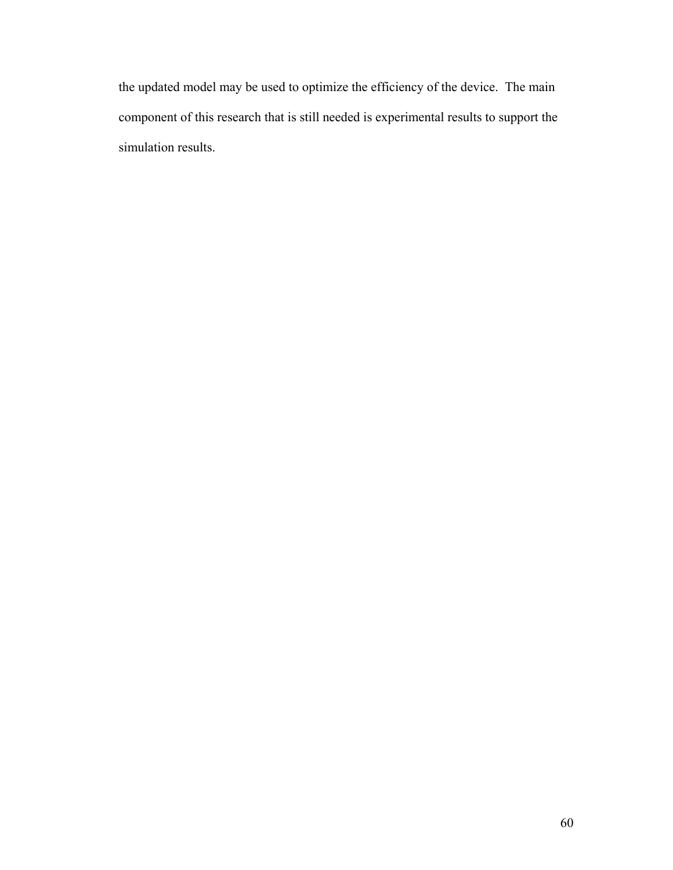the updated model may be used to optimize the efficiency of the device. The main component of this research that is still needed is experimental results to support the simulation results.